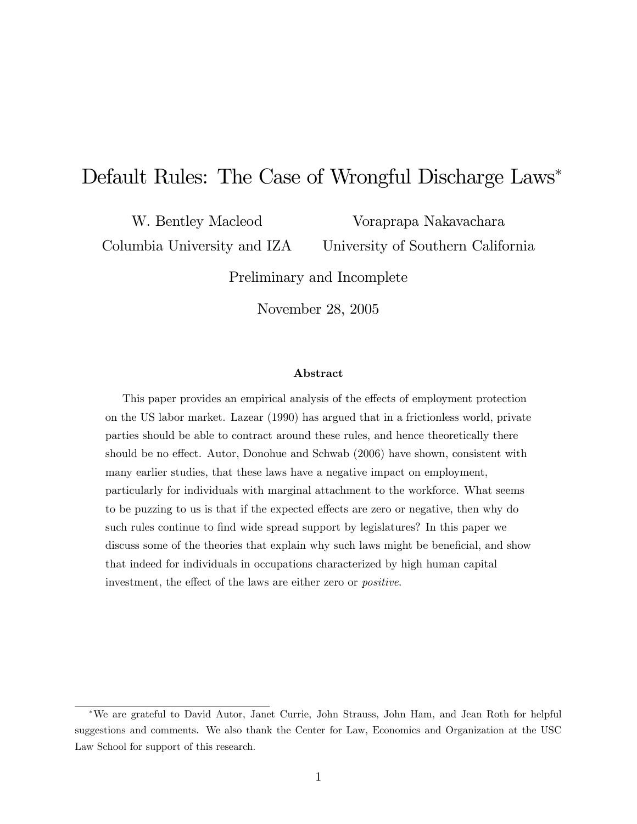# Default Rules: The Case of Wrongful Discharge Laws<sup>\*</sup>

W. Bentley Macleod

Columbia University and IZA

Voraprapa Nakavachara University of Southern California

Preliminary and Incomplete

November 28, 2005

### Abstract

This paper provides an empirical analysis of the effects of employment protection on the US labor market. Lazear (1990) has argued that in a frictionless world, private parties should be able to contract around these rules, and hence theoretically there should be no effect. Autor, Donohue and Schwab (2006) have shown, consistent with many earlier studies, that these laws have a negative impact on employment, particularly for individuals with marginal attachment to the workforce. What seems to be puzzing to us is that if the expected effects are zero or negative, then why do such rules continue to find wide spread support by legislatures? In this paper we discuss some of the theories that explain why such laws might be beneficial, and show that indeed for individuals in occupations characterized by high human capital investment, the effect of the laws are either zero or *positive*.

We are grateful to David Autor, Janet Currie, John Strauss, John Ham, and Jean Roth for helpful suggestions and comments. We also thank the Center for Law, Economics and Organization at the USC Law School for support of this research.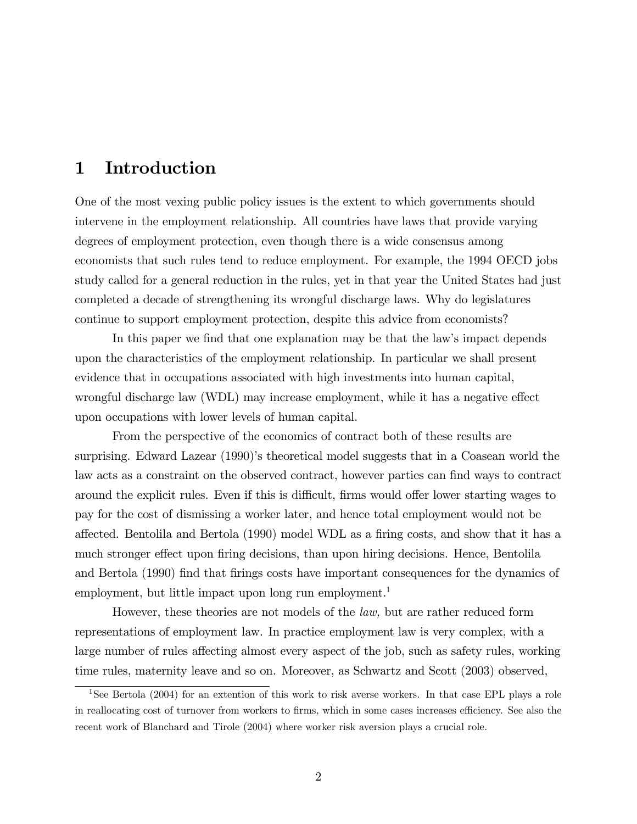# 1 Introduction

One of the most vexing public policy issues is the extent to which governments should intervene in the employment relationship. All countries have laws that provide varying degrees of employment protection, even though there is a wide consensus among economists that such rules tend to reduce employment. For example, the 1994 OECD jobs study called for a general reduction in the rules, yet in that year the United States had just completed a decade of strengthening its wrongful discharge laws. Why do legislatures continue to support employment protection, despite this advice from economists?

In this paper we find that one explanation may be that the law's impact depends upon the characteristics of the employment relationship. In particular we shall present evidence that in occupations associated with high investments into human capital, wrongful discharge law (WDL) may increase employment, while it has a negative effect upon occupations with lower levels of human capital.

From the perspective of the economics of contract both of these results are surprising. Edward Lazear (1990)'s theoretical model suggests that in a Coasean world the law acts as a constraint on the observed contract, however parties can find ways to contract around the explicit rules. Even if this is difficult, firms would offer lower starting wages to pay for the cost of dismissing a worker later, and hence total employment would not be affected. Bentolila and Bertola (1990) model WDL as a firing costs, and show that it has a much stronger effect upon firing decisions, than upon hiring decisions. Hence, Bentolila and Bertola (1990) find that firings costs have important consequences for the dynamics of employment, but little impact upon long run employment.<sup>1</sup>

However, these theories are not models of the law, but are rather reduced form representations of employment law. In practice employment law is very complex, with a large number of rules affecting almost every aspect of the job, such as safety rules, working time rules, maternity leave and so on. Moreover, as Schwartz and Scott (2003) observed,

<sup>&</sup>lt;sup>1</sup>See Bertola (2004) for an extention of this work to risk averse workers. In that case EPL plays a role in reallocating cost of turnover from workers to firms, which in some cases increases efficiency. See also the recent work of Blanchard and Tirole (2004) where worker risk aversion plays a crucial role.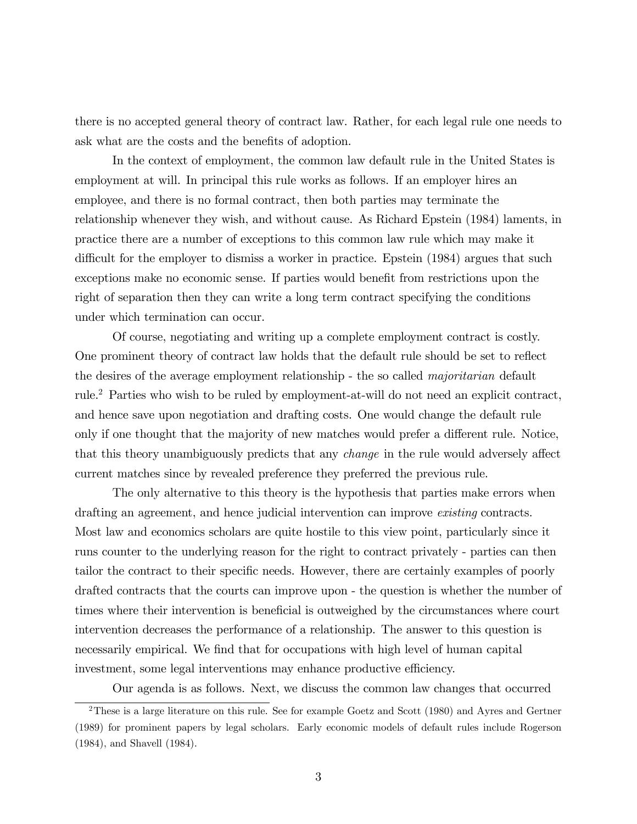there is no accepted general theory of contract law. Rather, for each legal rule one needs to ask what are the costs and the benefits of adoption.

In the context of employment, the common law default rule in the United States is employment at will. In principal this rule works as follows. If an employer hires an employee, and there is no formal contract, then both parties may terminate the relationship whenever they wish, and without cause. As Richard Epstein (1984) laments, in practice there are a number of exceptions to this common law rule which may make it difficult for the employer to dismiss a worker in practice. Epstein (1984) argues that such exceptions make no economic sense. If parties would benefit from restrictions upon the right of separation then they can write a long term contract specifying the conditions under which termination can occur.

Of course, negotiating and writing up a complete employment contract is costly. One prominent theory of contract law holds that the default rule should be set to reflect the desires of the average employment relationship - the so called majoritarian default rule.<sup>2</sup> Parties who wish to be ruled by employment-at-will do not need an explicit contract, and hence save upon negotiation and drafting costs. One would change the default rule only if one thought that the majority of new matches would prefer a different rule. Notice, that this theory unambiguously predicts that any *change* in the rule would adversely affect current matches since by revealed preference they preferred the previous rule.

The only alternative to this theory is the hypothesis that parties make errors when drafting an agreement, and hence judicial intervention can improve *existing* contracts. Most law and economics scholars are quite hostile to this view point, particularly since it runs counter to the underlying reason for the right to contract privately - parties can then tailor the contract to their specific needs. However, there are certainly examples of poorly drafted contracts that the courts can improve upon - the question is whether the number of times where their intervention is beneficial is outweighed by the circumstances where court intervention decreases the performance of a relationship. The answer to this question is necessarily empirical. We find that for occupations with high level of human capital investment, some legal interventions may enhance productive efficiency.

Our agenda is as follows. Next, we discuss the common law changes that occurred

<sup>&</sup>lt;sup>2</sup>These is a large literature on this rule. See for example Goetz and Scott (1980) and Ayres and Gertner (1989) for prominent papers by legal scholars. Early economic models of default rules include Rogerson (1984), and Shavell (1984).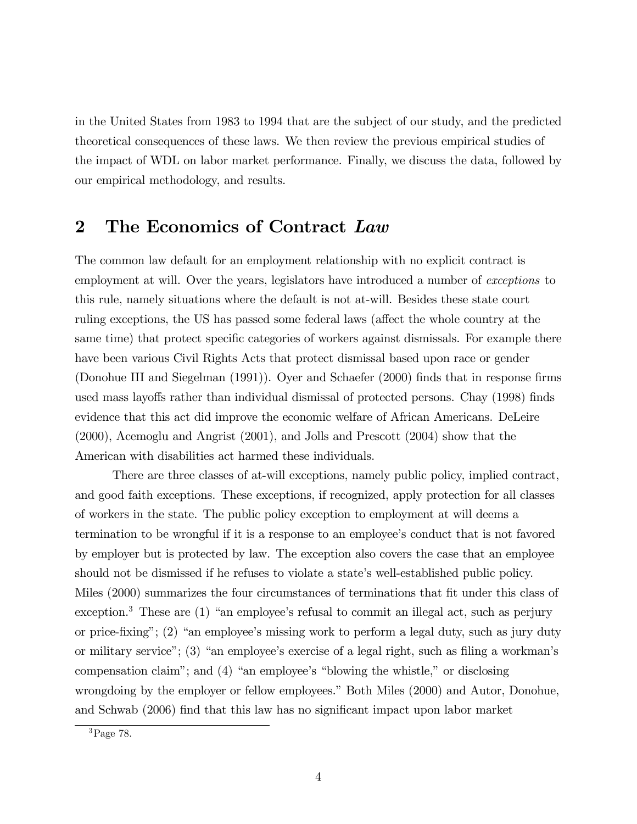in the United States from 1983 to 1994 that are the subject of our study, and the predicted theoretical consequences of these laws. We then review the previous empirical studies of the impact of WDL on labor market performance. Finally, we discuss the data, followed by our empirical methodology, and results.

# 2 The Economics of Contract Law

The common law default for an employment relationship with no explicit contract is employment at will. Over the years, legislators have introduced a number of *exceptions* to this rule, namely situations where the default is not at-will. Besides these state court ruling exceptions, the US has passed some federal laws (affect the whole country at the same time) that protect specific categories of workers against dismissals. For example there have been various Civil Rights Acts that protect dismissal based upon race or gender (Donohue III and Siegelman (1991)). Oyer and Schaefer (2000) finds that in response firms used mass layoffs rather than individual dismissal of protected persons. Chay (1998) finds evidence that this act did improve the economic welfare of African Americans. DeLeire (2000), Acemoglu and Angrist (2001), and Jolls and Prescott (2004) show that the American with disabilities act harmed these individuals.

There are three classes of at-will exceptions, namely public policy, implied contract, and good faith exceptions. These exceptions, if recognized, apply protection for all classes of workers in the state. The public policy exception to employment at will deems a termination to be wrongful if it is a response to an employee's conduct that is not favored by employer but is protected by law. The exception also covers the case that an employee should not be dismissed if he refuses to violate a state's well-established public policy. Miles (2000) summarizes the four circumstances of terminations that fit under this class of  $\alpha$  exception.<sup>3</sup> These are (1) "an employee's refusal to commit an illegal act, such as perjury or price-fixing";  $(2)$  "an employee's missing work to perform a legal duty, such as jury duty or military service"; (3) "an employee's exercise of a legal right, such as filing a workman's compensation claim"; and  $(4)$  "an employee's "blowing the whistle," or disclosing wrongdoing by the employer or fellow employees." Both Miles (2000) and Autor, Donohue, and Schwab (2006) find that this law has no significant impact upon labor market

<sup>3</sup>Page 78.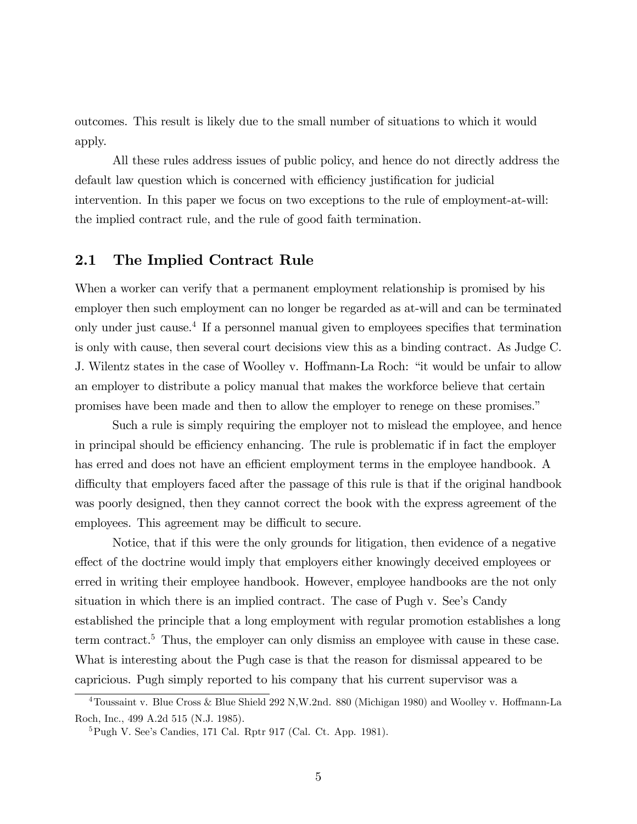outcomes. This result is likely due to the small number of situations to which it would apply.

All these rules address issues of public policy, and hence do not directly address the default law question which is concerned with efficiency justification for judicial intervention. In this paper we focus on two exceptions to the rule of employment-at-will: the implied contract rule, and the rule of good faith termination.

## 2.1 The Implied Contract Rule

When a worker can verify that a permanent employment relationship is promised by his employer then such employment can no longer be regarded as at-will and can be terminated only under just cause.<sup>4</sup> If a personnel manual given to employees specifies that termination is only with cause, then several court decisions view this as a binding contract. As Judge C. J. Wilentz states in the case of Woolley v. Hoffmann-La Roch: "it would be unfair to allow an employer to distribute a policy manual that makes the workforce believe that certain promises have been made and then to allow the employer to renege on these promises."

Such a rule is simply requiring the employer not to mislead the employee, and hence in principal should be efficiency enhancing. The rule is problematic if in fact the employer has erred and does not have an efficient employment terms in the employee handbook. A difficulty that employers faced after the passage of this rule is that if the original handbook was poorly designed, then they cannot correct the book with the express agreement of the employees. This agreement may be difficult to secure.

Notice, that if this were the only grounds for litigation, then evidence of a negative effect of the doctrine would imply that employers either knowingly deceived employees or erred in writing their employee handbook. However, employee handbooks are the not only situation in which there is an implied contract. The case of Pugh v. See's Candy established the principle that a long employment with regular promotion establishes a long term contract.<sup>5</sup> Thus, the employer can only dismiss an employee with cause in these case. What is interesting about the Pugh case is that the reason for dismissal appeared to be capricious. Pugh simply reported to his company that his current supervisor was a

<sup>&</sup>lt;sup>4</sup>Toussaint v. Blue Cross & Blue Shield 292 N,W.2nd. 880 (Michigan 1980) and Woolley v. Hoffmann-La Roch, Inc., 499 A.2d 515 (N.J. 1985).

 ${}^{5}$ Pugh V. See's Candies, 171 Cal. Rptr 917 (Cal. Ct. App. 1981).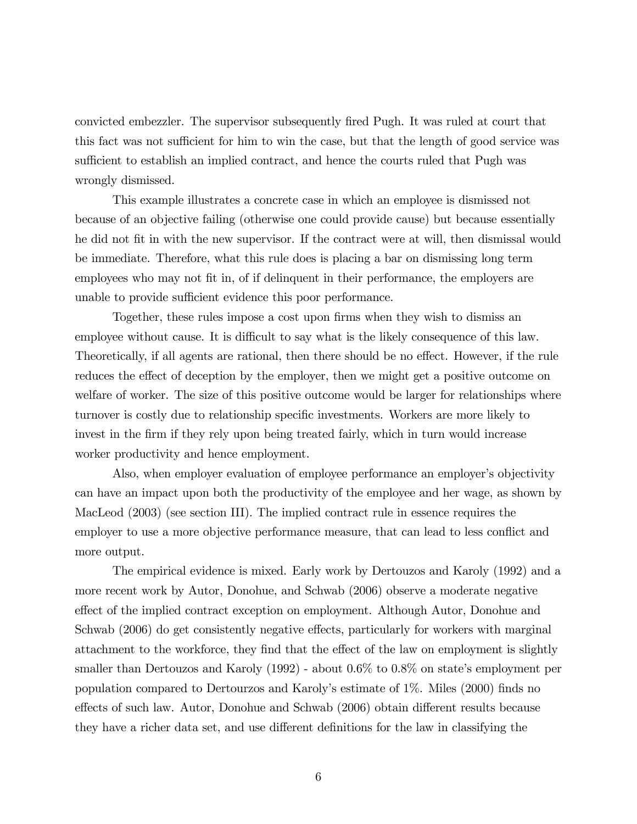convicted embezzler. The supervisor subsequently Öred Pugh. It was ruled at court that this fact was not sufficient for him to win the case, but that the length of good service was sufficient to establish an implied contract, and hence the courts ruled that Pugh was wrongly dismissed.

This example illustrates a concrete case in which an employee is dismissed not because of an objective failing (otherwise one could provide cause) but because essentially he did not fit in with the new supervisor. If the contract were at will, then dismissal would be immediate. Therefore, what this rule does is placing a bar on dismissing long term employees who may not fit in, of if delinquent in their performance, the employers are unable to provide sufficient evidence this poor performance.

Together, these rules impose a cost upon firms when they wish to dismiss an employee without cause. It is difficult to say what is the likely consequence of this law. Theoretically, if all agents are rational, then there should be no effect. However, if the rule reduces the effect of deception by the employer, then we might get a positive outcome on welfare of worker. The size of this positive outcome would be larger for relationships where turnover is costly due to relationship specific investments. Workers are more likely to invest in the firm if they rely upon being treated fairly, which in turn would increase worker productivity and hence employment.

Also, when employer evaluation of employee performance an employer's objectivity can have an impact upon both the productivity of the employee and her wage, as shown by MacLeod (2003) (see section III). The implied contract rule in essence requires the employer to use a more objective performance measure, that can lead to less conflict and more output.

The empirical evidence is mixed. Early work by Dertouzos and Karoly (1992) and a more recent work by Autor, Donohue, and Schwab (2006) observe a moderate negative effect of the implied contract exception on employment. Although Autor, Donohue and Schwab (2006) do get consistently negative effects, particularly for workers with marginal attachment to the workforce, they find that the effect of the law on employment is slightly smaller than Dertouzos and Karoly  $(1992)$  - about 0.6% to 0.8% on state's employment per population compared to Dertourzos and Karolyís estimate of 1%. Miles (2000) Önds no effects of such law. Autor, Donohue and Schwab (2006) obtain different results because they have a richer data set, and use different definitions for the law in classifying the

6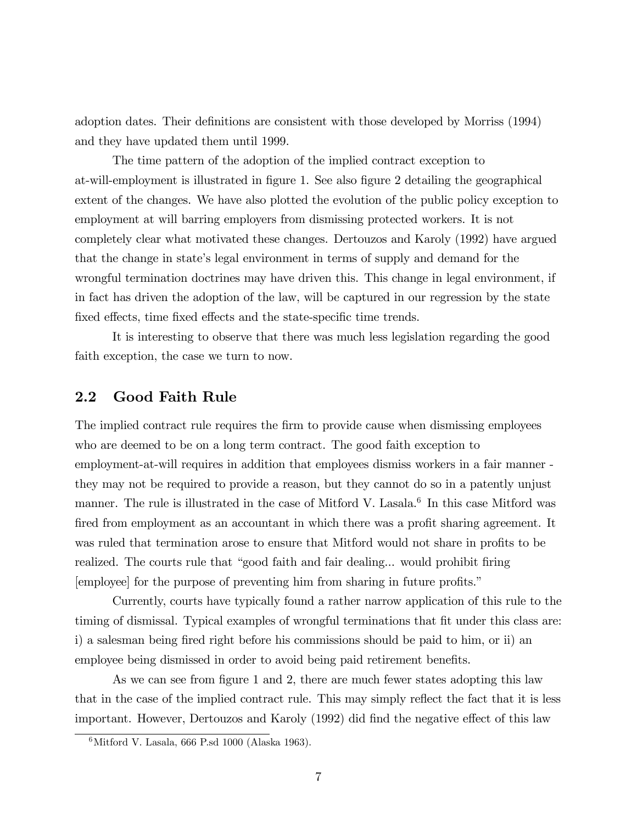adoption dates. Their definitions are consistent with those developed by Morriss (1994) and they have updated them until 1999.

The time pattern of the adoption of the implied contract exception to at-will-employment is illustrated in figure 1. See also figure 2 detailing the geographical extent of the changes. We have also plotted the evolution of the public policy exception to employment at will barring employers from dismissing protected workers. It is not completely clear what motivated these changes. Dertouzos and Karoly (1992) have argued that the change in stateís legal environment in terms of supply and demand for the wrongful termination doctrines may have driven this. This change in legal environment, if in fact has driven the adoption of the law, will be captured in our regression by the state fixed effects, time fixed effects and the state-specific time trends.

It is interesting to observe that there was much less legislation regarding the good faith exception, the case we turn to now.

## 2.2 Good Faith Rule

The implied contract rule requires the firm to provide cause when dismissing employees who are deemed to be on a long term contract. The good faith exception to employment-at-will requires in addition that employees dismiss workers in a fair manner they may not be required to provide a reason, but they cannot do so in a patently unjust manner. The rule is illustrated in the case of Mitford V. Lasala.<sup>6</sup> In this case Mitford was fired from employment as an accountant in which there was a profit sharing agreement. It was ruled that termination arose to ensure that Mitford would not share in profits to be realized. The courts rule that "good faith and fair dealing... would prohibit firing [employee] for the purpose of preventing him from sharing in future profits.<sup>"</sup>

Currently, courts have typically found a rather narrow application of this rule to the timing of dismissal. Typical examples of wrongful terminations that fit under this class are: i) a salesman being fired right before his commissions should be paid to him, or ii) an employee being dismissed in order to avoid being paid retirement benefits.

As we can see from figure 1 and 2, there are much fewer states adopting this law that in the case of the implied contract rule. This may simply reflect the fact that it is less important. However, Dertouzos and Karoly (1992) did find the negative effect of this law

 $6\text{Mittord V}$ . Lasala, 666 P.sd 1000 (Alaska 1963).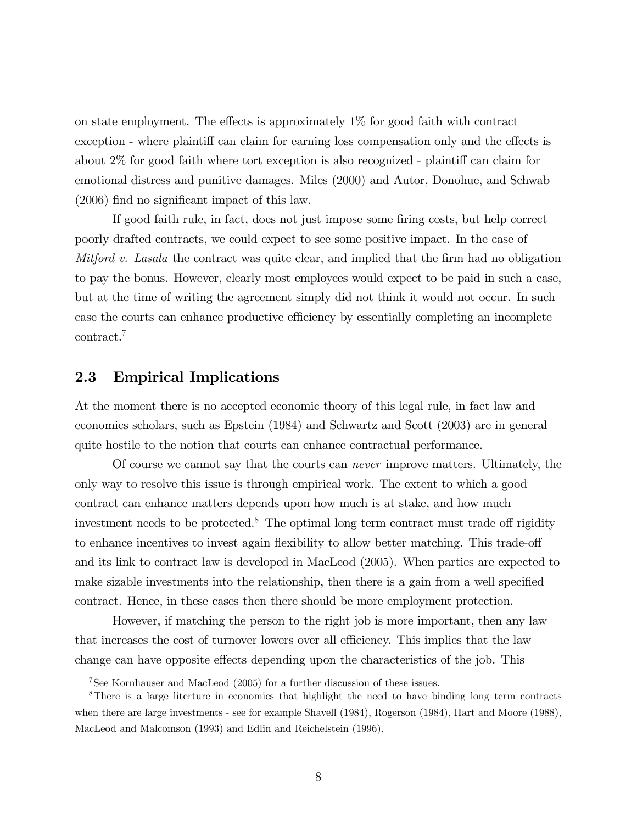on state employment. The effects is approximately  $1\%$  for good faith with contract exception - where plaintiff can claim for earning loss compensation only and the effects is about  $2\%$  for good faith where tort exception is also recognized - plaintiff can claim for emotional distress and punitive damages. Miles (2000) and Autor, Donohue, and Schwab  $(2006)$  find no significant impact of this law.

If good faith rule, in fact, does not just impose some firing costs, but help correct poorly drafted contracts, we could expect to see some positive impact. In the case of *Mitford v. Lasala* the contract was quite clear, and implied that the firm had no obligation to pay the bonus. However, clearly most employees would expect to be paid in such a case, but at the time of writing the agreement simply did not think it would not occur. In such case the courts can enhance productive efficiency by essentially completing an incomplete contract.<sup>7</sup>

## 2.3 Empirical Implications

At the moment there is no accepted economic theory of this legal rule, in fact law and economics scholars, such as Epstein (1984) and Schwartz and Scott (2003) are in general quite hostile to the notion that courts can enhance contractual performance.

Of course we cannot say that the courts can never improve matters. Ultimately, the only way to resolve this issue is through empirical work. The extent to which a good contract can enhance matters depends upon how much is at stake, and how much investment needs to be protected.<sup>8</sup> The optimal long term contract must trade off rigidity to enhance incentives to invest again flexibility to allow better matching. This trade-off and its link to contract law is developed in MacLeod (2005). When parties are expected to make sizable investments into the relationship, then there is a gain from a well specified contract. Hence, in these cases then there should be more employment protection.

However, if matching the person to the right job is more important, then any law that increases the cost of turnover lowers over all efficiency. This implies that the law change can have opposite effects depending upon the characteristics of the job. This

<sup>7</sup>See Kornhauser and MacLeod (2005) for a further discussion of these issues.

<sup>8</sup>There is a large literture in economics that highlight the need to have binding long term contracts when there are large investments - see for example Shavell (1984), Rogerson (1984), Hart and Moore (1988), MacLeod and Malcomson (1993) and Edlin and Reichelstein (1996).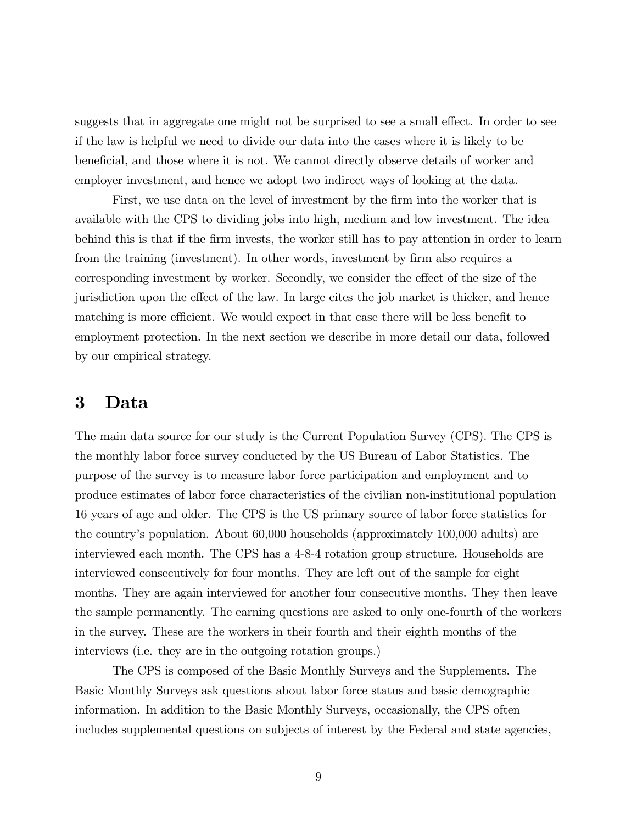suggests that in aggregate one might not be surprised to see a small effect. In order to see if the law is helpful we need to divide our data into the cases where it is likely to be beneficial, and those where it is not. We cannot directly observe details of worker and employer investment, and hence we adopt two indirect ways of looking at the data.

First, we use data on the level of investment by the firm into the worker that is available with the CPS to dividing jobs into high, medium and low investment. The idea behind this is that if the firm invests, the worker still has to pay attention in order to learn from the training (investment). In other words, investment by firm also requires a corresponding investment by worker. Secondly, we consider the effect of the size of the jurisdiction upon the effect of the law. In large cites the job market is thicker, and hence matching is more efficient. We would expect in that case there will be less benefit to employment protection. In the next section we describe in more detail our data, followed by our empirical strategy.

# 3 Data

The main data source for our study is the Current Population Survey (CPS). The CPS is the monthly labor force survey conducted by the US Bureau of Labor Statistics. The purpose of the survey is to measure labor force participation and employment and to produce estimates of labor force characteristics of the civilian non-institutional population 16 years of age and older. The CPS is the US primary source of labor force statistics for the countryís population. About 60,000 households (approximately 100,000 adults) are interviewed each month. The CPS has a 4-8-4 rotation group structure. Households are interviewed consecutively for four months. They are left out of the sample for eight months. They are again interviewed for another four consecutive months. They then leave the sample permanently. The earning questions are asked to only one-fourth of the workers in the survey. These are the workers in their fourth and their eighth months of the interviews (i.e. they are in the outgoing rotation groups.)

The CPS is composed of the Basic Monthly Surveys and the Supplements. The Basic Monthly Surveys ask questions about labor force status and basic demographic information. In addition to the Basic Monthly Surveys, occasionally, the CPS often includes supplemental questions on subjects of interest by the Federal and state agencies,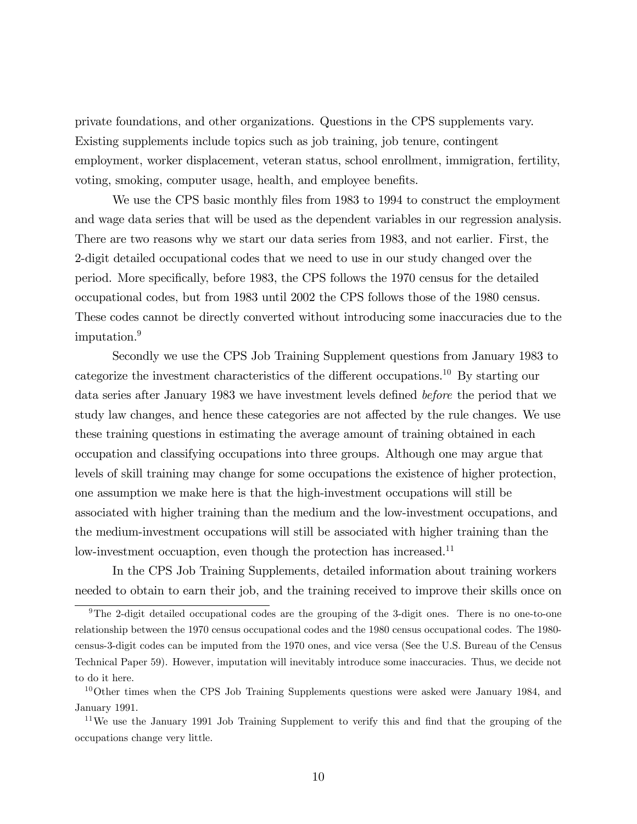private foundations, and other organizations. Questions in the CPS supplements vary. Existing supplements include topics such as job training, job tenure, contingent employment, worker displacement, veteran status, school enrollment, immigration, fertility, voting, smoking, computer usage, health, and employee benefits.

We use the CPS basic monthly files from 1983 to 1994 to construct the employment and wage data series that will be used as the dependent variables in our regression analysis. There are two reasons why we start our data series from 1983, and not earlier. First, the 2-digit detailed occupational codes that we need to use in our study changed over the period. More specifically, before 1983, the CPS follows the 1970 census for the detailed occupational codes, but from 1983 until 2002 the CPS follows those of the 1980 census. These codes cannot be directly converted without introducing some inaccuracies due to the imputation.<sup>9</sup>

Secondly we use the CPS Job Training Supplement questions from January 1983 to categorize the investment characteristics of the different occupations.<sup>10</sup> By starting our data series after January 1983 we have investment levels defined before the period that we study law changes, and hence these categories are not affected by the rule changes. We use these training questions in estimating the average amount of training obtained in each occupation and classifying occupations into three groups. Although one may argue that levels of skill training may change for some occupations the existence of higher protection, one assumption we make here is that the high-investment occupations will still be associated with higher training than the medium and the low-investment occupations, and the medium-investment occupations will still be associated with higher training than the low-investment occuaption, even though the protection has increased.<sup>11</sup>

In the CPS Job Training Supplements, detailed information about training workers needed to obtain to earn their job, and the training received to improve their skills once on

<sup>9</sup>The 2-digit detailed occupational codes are the grouping of the 3-digit ones. There is no one-to-one relationship between the 1970 census occupational codes and the 1980 census occupational codes. The 1980 census-3-digit codes can be imputed from the 1970 ones, and vice versa (See the U.S. Bureau of the Census Technical Paper 59). However, imputation will inevitably introduce some inaccuracies. Thus, we decide not to do it here.

 $10$ Other times when the CPS Job Training Supplements questions were asked were January 1984, and January 1991.

<sup>&</sup>lt;sup>11</sup>We use the January 1991 Job Training Supplement to verify this and find that the grouping of the occupations change very little.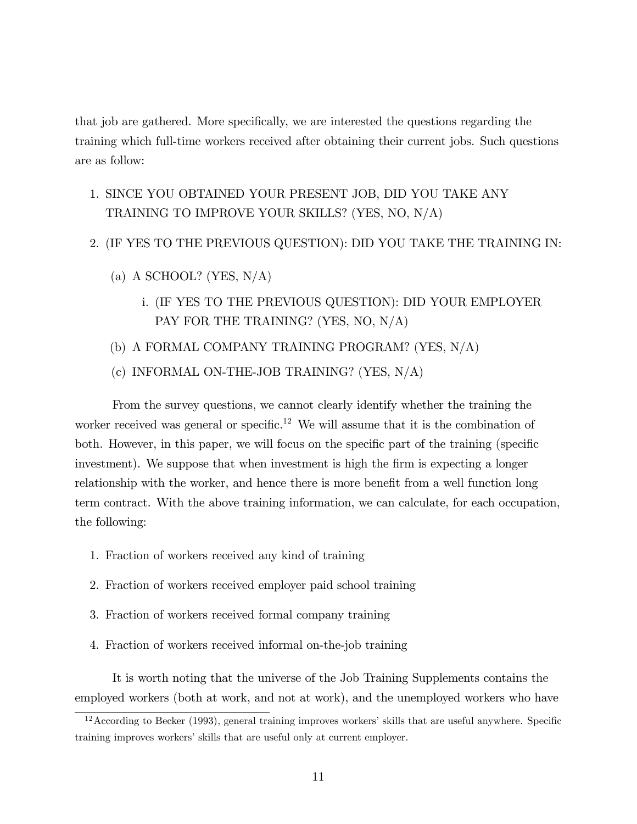that job are gathered. More specifically, we are interested the questions regarding the training which full-time workers received after obtaining their current jobs. Such questions are as follow:

1. SINCE YOU OBTAINED YOUR PRESENT JOB, DID YOU TAKE ANY TRAINING TO IMPROVE YOUR SKILLS? (YES, NO, N/A)

### 2. (IF YES TO THE PREVIOUS QUESTION): DID YOU TAKE THE TRAINING IN:

- (a) A SCHOOL? (YES,  $N/A$ )
	- i. (IF YES TO THE PREVIOUS QUESTION): DID YOUR EMPLOYER PAY FOR THE TRAINING? (YES, NO, N/A)
- (b) A FORMAL COMPANY TRAINING PROGRAM? (YES, N/A)
- (c) INFORMAL ON-THE-JOB TRAINING? (YES, N/A)

From the survey questions, we cannot clearly identify whether the training the worker received was general or specific.<sup>12</sup> We will assume that it is the combination of both. However, in this paper, we will focus on the specific part of the training (specific investment). We suppose that when investment is high the firm is expecting a longer relationship with the worker, and hence there is more benefit from a well function long term contract. With the above training information, we can calculate, for each occupation, the following:

- 1. Fraction of workers received any kind of training
- 2. Fraction of workers received employer paid school training
- 3. Fraction of workers received formal company training
- 4. Fraction of workers received informal on-the-job training

It is worth noting that the universe of the Job Training Supplements contains the employed workers (both at work, and not at work), and the unemployed workers who have

 $12$ According to Becker (1993), general training improves workers' skills that are useful anywhere. Specific training improves workers' skills that are useful only at current employer.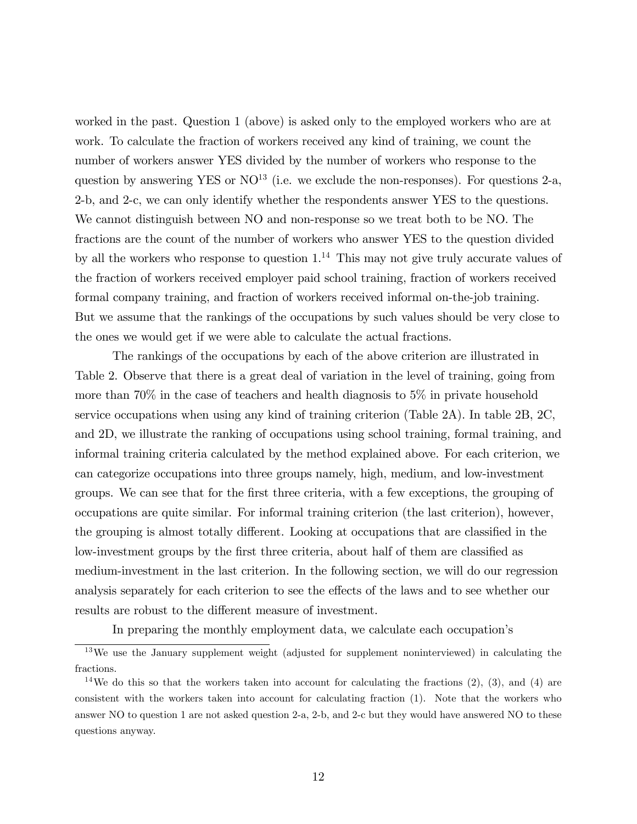worked in the past. Question 1 (above) is asked only to the employed workers who are at work. To calculate the fraction of workers received any kind of training, we count the number of workers answer YES divided by the number of workers who response to the question by answering YES or  $NO^{13}$  (i.e. we exclude the non-responses). For questions 2-a, 2-b, and 2-c, we can only identify whether the respondents answer YES to the questions. We cannot distinguish between NO and non-response so we treat both to be NO. The fractions are the count of the number of workers who answer YES to the question divided by all the workers who response to question  $1<sup>14</sup>$ . This may not give truly accurate values of the fraction of workers received employer paid school training, fraction of workers received formal company training, and fraction of workers received informal on-the-job training. But we assume that the rankings of the occupations by such values should be very close to the ones we would get if we were able to calculate the actual fractions.

The rankings of the occupations by each of the above criterion are illustrated in Table 2. Observe that there is a great deal of variation in the level of training, going from more than 70% in the case of teachers and health diagnosis to 5% in private household service occupations when using any kind of training criterion (Table 2A). In table 2B, 2C, and 2D, we illustrate the ranking of occupations using school training, formal training, and informal training criteria calculated by the method explained above. For each criterion, we can categorize occupations into three groups namely, high, medium, and low-investment groups. We can see that for the Örst three criteria, with a few exceptions, the grouping of occupations are quite similar. For informal training criterion (the last criterion), however, the grouping is almost totally different. Looking at occupations that are classified in the low-investment groups by the first three criteria, about half of them are classified as medium-investment in the last criterion. In the following section, we will do our regression analysis separately for each criterion to see the effects of the laws and to see whether our results are robust to the different measure of investment.

In preparing the monthly employment data, we calculate each occupation's

<sup>13</sup>We use the January supplement weight (adjusted for supplement noninterviewed) in calculating the fractions.

<sup>&</sup>lt;sup>14</sup>We do this so that the workers taken into account for calculating the fractions  $(2)$ ,  $(3)$ , and  $(4)$  are consistent with the workers taken into account for calculating fraction (1). Note that the workers who answer NO to question 1 are not asked question 2-a, 2-b, and 2-c but they would have answered NO to these questions anyway.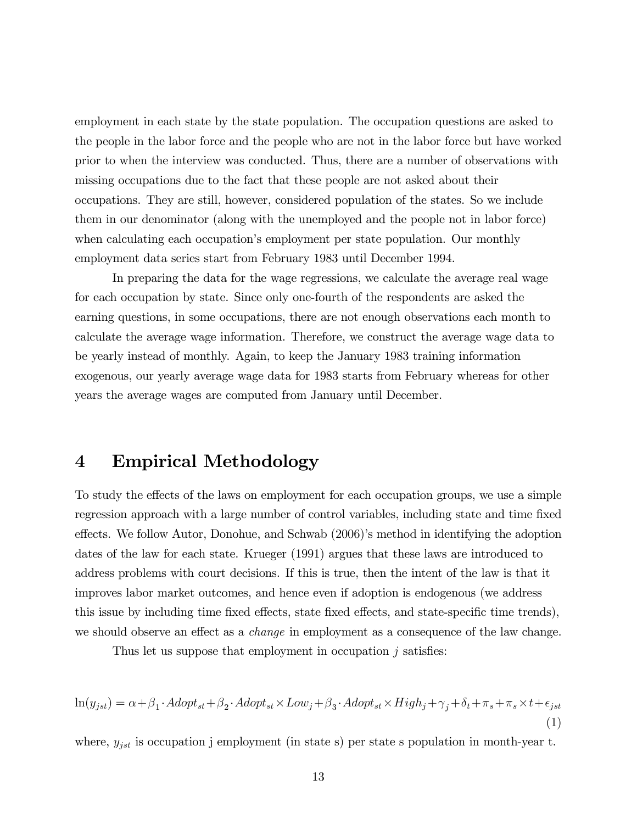employment in each state by the state population. The occupation questions are asked to the people in the labor force and the people who are not in the labor force but have worked prior to when the interview was conducted. Thus, there are a number of observations with missing occupations due to the fact that these people are not asked about their occupations. They are still, however, considered population of the states. So we include them in our denominator (along with the unemployed and the people not in labor force) when calculating each occupationís employment per state population. Our monthly employment data series start from February 1983 until December 1994.

In preparing the data for the wage regressions, we calculate the average real wage for each occupation by state. Since only one-fourth of the respondents are asked the earning questions, in some occupations, there are not enough observations each month to calculate the average wage information. Therefore, we construct the average wage data to be yearly instead of monthly. Again, to keep the January 1983 training information exogenous, our yearly average wage data for 1983 starts from February whereas for other years the average wages are computed from January until December.

# 4 Empirical Methodology

To study the effects of the laws on employment for each occupation groups, we use a simple regression approach with a large number of control variables, including state and time fixed effects. We follow Autor, Donohue, and Schwab (2006)'s method in identifying the adoption dates of the law for each state. Krueger (1991) argues that these laws are introduced to address problems with court decisions. If this is true, then the intent of the law is that it improves labor market outcomes, and hence even if adoption is endogenous (we address this issue by including time fixed effects, state fixed effects, and state-specific time trends), we should observe an effect as a *change* in employment as a consequence of the law change.

Thus let us suppose that employment in occupation  $j$  satisfies:

$$
\ln(y_{jst}) = \alpha + \beta_1 \cdot Adopt_{st} + \beta_2 \cdot Adopt_{st} \times Low_j + \beta_3 \cdot Adopt_{st} \times High_j + \gamma_j + \delta_t + \pi_s + \pi_s \times t + \epsilon_{jst}
$$
\n
$$
\tag{1}
$$

where,  $y_{jst}$  is occupation j employment (in state s) per state s population in month-year t.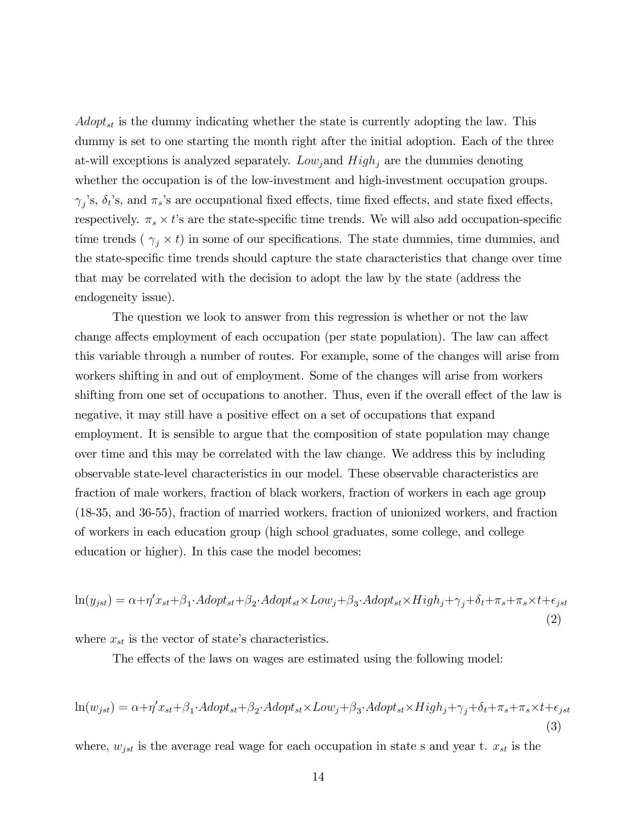$Adopt_{st}$  is the dummy indicating whether the state is currently adopting the law. This dummy is set to one starting the month right after the initial adoption. Each of the three at-will exceptions is analyzed separately.  $Low_j$  and  $High_j$  are the dummies denoting whether the occupation is of the low-investment and high-investment occupation groups.  $\gamma_j$ 's,  $\delta_t$ 's, and  $\pi_s$ 's are occupational fixed effects, time fixed effects, and state fixed effects, respectively.  $\pi_s \times t$ 's are the state-specific time trends. We will also add occupation-specific time trends ( $\gamma_j \times t$ ) in some of our specifications. The state dummies, time dummies, and the state-specific time trends should capture the state characteristics that change over time that may be correlated with the decision to adopt the law by the state (address the endogeneity issue).

The question we look to answer from this regression is whether or not the law change affects employment of each occupation (per state population). The law can affect this variable through a number of routes. For example, some of the changes will arise from workers shifting in and out of employment. Some of the changes will arise from workers shifting from one set of occupations to another. Thus, even if the overall effect of the law is negative, it may still have a positive effect on a set of occupations that expand employment. It is sensible to argue that the composition of state population may change over time and this may be correlated with the law change. We address this by including observable state-level characteristics in our model. These observable characteristics are fraction of male workers, fraction of black workers, fraction of workers in each age group (18-35, and 36-55), fraction of married workers, fraction of unionized workers, and fraction of workers in each education group (high school graduates, some college, and college education or higher). In this case the model becomes:

$$
\ln(y_{jst}) = \alpha + \eta' x_{st} + \beta_1 \cdot \text{Adopt}_{st} + \beta_2 \cdot \text{Adopt}_{st} \times \text{Low}_j + \beta_3 \cdot \text{Adopt}_{st} \times \text{High}_j + \gamma_j + \delta_t + \pi_s + \pi_s \times t + \epsilon_{jst}
$$
\n
$$
\tag{2}
$$

where  $x_{st}$  is the vector of state's characteristics.

The effects of the laws on wages are estimated using the following model:

$$
\ln(w_{jst}) = \alpha + \eta' x_{st} + \beta_1 \cdot A \cdot \text{d} \cdot \text{d} \cdot \text{d} \cdot \text{d} \cdot \text{d} \cdot \text{d} \cdot \text{d} \cdot \text{d} \cdot \text{d} \cdot \text{d} \cdot \text{d} \cdot \text{d} \cdot \text{d} \cdot \text{d} \cdot \text{d} \cdot \text{d} \cdot \text{d} \cdot \text{d} \cdot \text{d} \cdot \text{d} \cdot \text{d} \cdot \text{d} \cdot \text{d} \cdot \text{d} \cdot \text{d} \cdot \text{d} \cdot \text{d} \cdot \text{d} \cdot \text{d} \cdot \text{d} \cdot \text{d} \cdot \text{d} \cdot \text{d} \cdot \text{d} \cdot \text{d} \cdot \text{d} \cdot \text{d} \cdot \text{d} \cdot \text{d} \cdot \text{d} \cdot \text{d} \cdot \text{d} \cdot \text{d} \cdot \text{d} \cdot \text{d} \cdot \text{d} \cdot \text{d} \cdot \text{d} \cdot \text{d} \cdot \text{d} \cdot \text{d} \cdot \text{d} \cdot \text{d} \cdot \text{d} \cdot \text{d} \cdot \text{d} \cdot \text{d} \cdot \text{d} \cdot \text{d} \cdot \text{d} \cdot \text{d} \cdot \text{d} \cdot \text{d} \cdot \text{d} \cdot \text{d} \cdot \text{d} \cdot \text{d} \cdot \text{d} \cdot \text{d} \cdot \text{d} \cdot \text{d} \cdot \text{d} \cdot \text{d} \cdot \text{d} \cdot \text{d} \cdot \text{d} \cdot \text{d} \cdot \text{d} \cdot \text{d} \cdot \text{d} \cdot \text{d} \cdot \text{d} \cdot \text{d} \cdot \text{d} \cdot \text{d} \cdot \text{d} \cdot \text{d} \cdot \text{d} \cdot \text{d} \cdot \text{d} \cdot \text{d} \cdot \text{d} \cdot \text{d} \cdot \text{d} \cdot \text{d} \cdot \text{d} \cdot \text{d} \cdot \text{d} \cdot \text{d} \cdot \text{d} \cdot \text{d} \cdot \text{d} \cdot \text{d} \cdot \text{d} \cdot \text{d
$$

where,  $w_{jst}$  is the average real wage for each occupation in state s and year t.  $x_{st}$  is the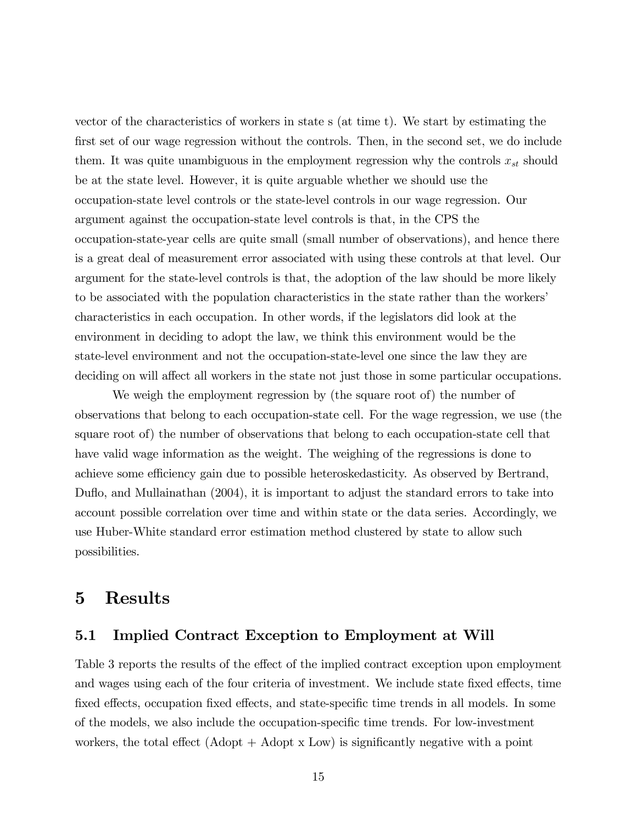vector of the characteristics of workers in state s (at time t). We start by estimating the first set of our wage regression without the controls. Then, in the second set, we do include them. It was quite unambiguous in the employment regression why the controls  $x_{st}$  should be at the state level. However, it is quite arguable whether we should use the occupation-state level controls or the state-level controls in our wage regression. Our argument against the occupation-state level controls is that, in the CPS the occupation-state-year cells are quite small (small number of observations), and hence there is a great deal of measurement error associated with using these controls at that level. Our argument for the state-level controls is that, the adoption of the law should be more likely to be associated with the population characteristics in the state rather than the workers' characteristics in each occupation. In other words, if the legislators did look at the environment in deciding to adopt the law, we think this environment would be the state-level environment and not the occupation-state-level one since the law they are deciding on will affect all workers in the state not just those in some particular occupations.

We weigh the employment regression by (the square root of) the number of observations that belong to each occupation-state cell. For the wage regression, we use (the square root of) the number of observations that belong to each occupation-state cell that have valid wage information as the weight. The weighing of the regressions is done to achieve some efficiency gain due to possible heteroskedasticity. As observed by Bertrand, Duflo, and Mullainathan (2004), it is important to adjust the standard errors to take into account possible correlation over time and within state or the data series. Accordingly, we use Huber-White standard error estimation method clustered by state to allow such possibilities.

# 5 Results

## 5.1 Implied Contract Exception to Employment at Will

Table 3 reports the results of the effect of the implied contract exception upon employment and wages using each of the four criteria of investment. We include state fixed effects, time fixed effects, occupation fixed effects, and state-specific time trends in all models. In some of the models, we also include the occupation-specific time trends. For low-investment workers, the total effect  $(Adopt + Adopt x Low)$  is significantly negative with a point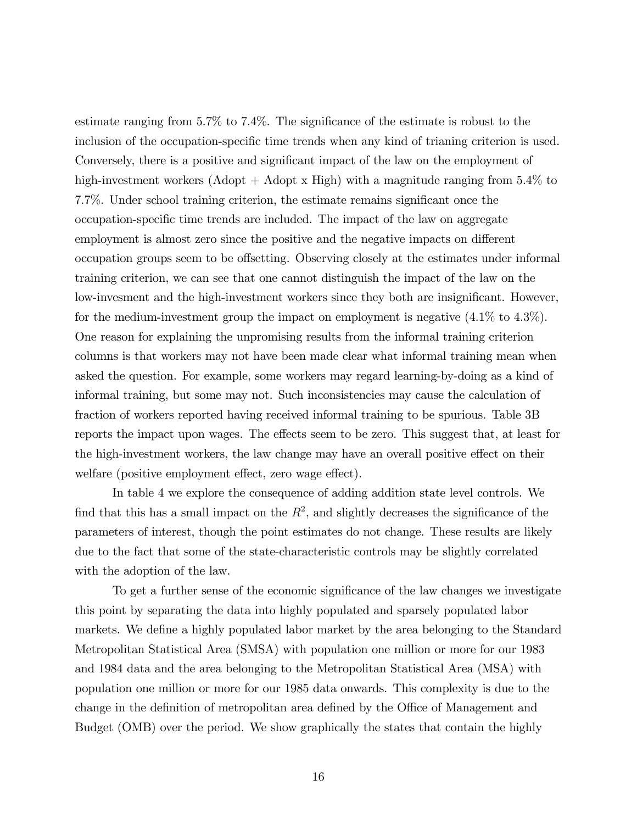estimate ranging from  $5.7\%$  to  $7.4\%$ . The significance of the estimate is robust to the inclusion of the occupation-specific time trends when any kind of trianing criterion is used. Conversely, there is a positive and significant impact of the law on the employment of high-investment workers (Adopt + Adopt x High) with a magnitude ranging from 5.4% to 7.7%. Under school training criterion, the estimate remains significant once the occupation-specific time trends are included. The impact of the law on aggregate employment is almost zero since the positive and the negative impacts on different occupation groups seem to be offsetting. Observing closely at the estimates under informal training criterion, we can see that one cannot distinguish the impact of the law on the low-invesment and the high-investment workers since they both are insignificant. However, for the medium-investment group the impact on employment is negative (4.1% to 4.3%). One reason for explaining the unpromising results from the informal training criterion columns is that workers may not have been made clear what informal training mean when asked the question. For example, some workers may regard learning-by-doing as a kind of informal training, but some may not. Such inconsistencies may cause the calculation of fraction of workers reported having received informal training to be spurious. Table 3B reports the impact upon wages. The effects seem to be zero. This suggest that, at least for the high-investment workers, the law change may have an overall positive effect on their welfare (positive employment effect, zero wage effect).

In table 4 we explore the consequence of adding addition state level controls. We find that this has a small impact on the  $R^2$ , and slightly decreases the significance of the parameters of interest, though the point estimates do not change. These results are likely due to the fact that some of the state-characteristic controls may be slightly correlated with the adoption of the law.

To get a further sense of the economic significance of the law changes we investigate this point by separating the data into highly populated and sparsely populated labor markets. We define a highly populated labor market by the area belonging to the Standard Metropolitan Statistical Area (SMSA) with population one million or more for our 1983 and 1984 data and the area belonging to the Metropolitan Statistical Area (MSA) with population one million or more for our 1985 data onwards. This complexity is due to the change in the definition of metropolitan area defined by the Office of Management and Budget (OMB) over the period. We show graphically the states that contain the highly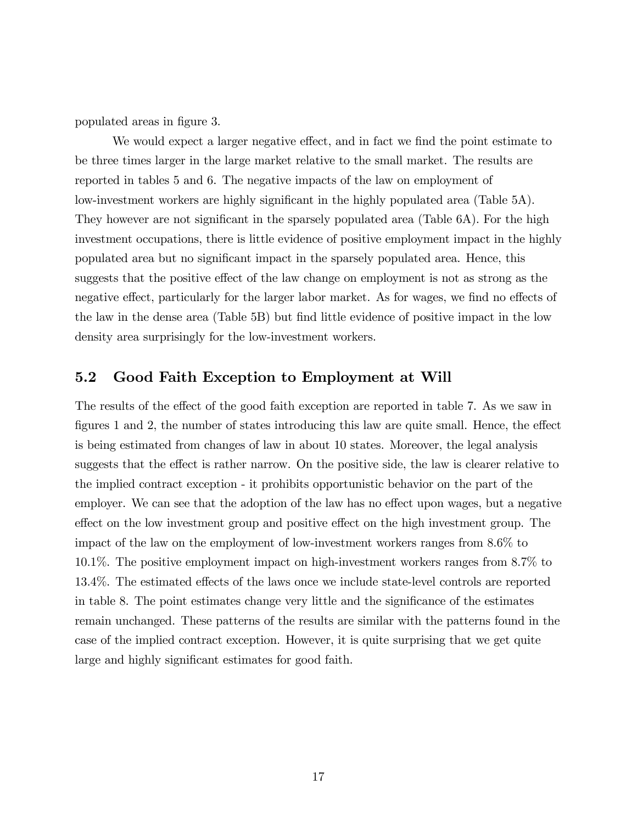populated areas in figure 3.

We would expect a larger negative effect, and in fact we find the point estimate to be three times larger in the large market relative to the small market. The results are reported in tables 5 and 6. The negative impacts of the law on employment of low-investment workers are highly significant in the highly populated area (Table 5A). They however are not significant in the sparsely populated area (Table 6A). For the high investment occupations, there is little evidence of positive employment impact in the highly populated area but no signiÖcant impact in the sparsely populated area. Hence, this suggests that the positive effect of the law change on employment is not as strong as the negative effect, particularly for the larger labor market. As for wages, we find no effects of the law in the dense area (Table 5B) but find little evidence of positive impact in the low density area surprisingly for the low-investment workers.

### 5.2 Good Faith Exception to Employment at Will

The results of the effect of the good faith exception are reported in table 7. As we saw in figures 1 and 2, the number of states introducing this law are quite small. Hence, the effect is being estimated from changes of law in about 10 states. Moreover, the legal analysis suggests that the effect is rather narrow. On the positive side, the law is clearer relative to the implied contract exception - it prohibits opportunistic behavior on the part of the employer. We can see that the adoption of the law has no effect upon wages, but a negative effect on the low investment group and positive effect on the high investment group. The impact of the law on the employment of low-investment workers ranges from 8.6% to 10.1%. The positive employment impact on high-investment workers ranges from 8.7% to 13.4%. The estimated effects of the laws once we include state-level controls are reported in table 8. The point estimates change very little and the significance of the estimates remain unchanged. These patterns of the results are similar with the patterns found in the case of the implied contract exception. However, it is quite surprising that we get quite large and highly significant estimates for good faith.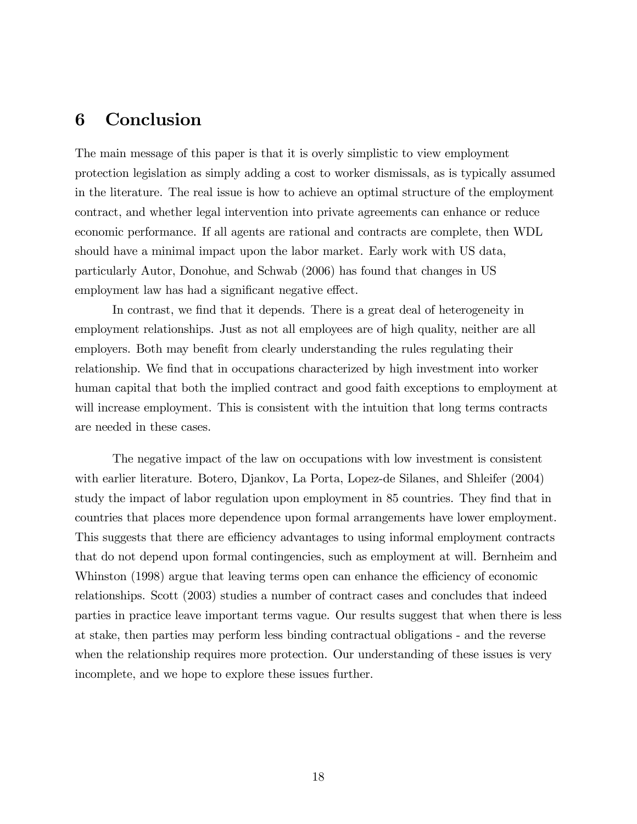# 6 Conclusion

The main message of this paper is that it is overly simplistic to view employment protection legislation as simply adding a cost to worker dismissals, as is typically assumed in the literature. The real issue is how to achieve an optimal structure of the employment contract, and whether legal intervention into private agreements can enhance or reduce economic performance. If all agents are rational and contracts are complete, then WDL should have a minimal impact upon the labor market. Early work with US data, particularly Autor, Donohue, and Schwab (2006) has found that changes in US employment law has had a significant negative effect.

In contrast, we find that it depends. There is a great deal of heterogeneity in employment relationships. Just as not all employees are of high quality, neither are all employers. Both may benefit from clearly understanding the rules regulating their relationship. We find that in occupations characterized by high investment into worker human capital that both the implied contract and good faith exceptions to employment at will increase employment. This is consistent with the intuition that long terms contracts are needed in these cases.

The negative impact of the law on occupations with low investment is consistent with earlier literature. Botero, Djankov, La Porta, Lopez-de Silanes, and Shleifer (2004) study the impact of labor regulation upon employment in 85 countries. They find that in countries that places more dependence upon formal arrangements have lower employment. This suggests that there are efficiency advantages to using informal employment contracts that do not depend upon formal contingencies, such as employment at will. Bernheim and Whinston (1998) argue that leaving terms open can enhance the efficiency of economic relationships. Scott (2003) studies a number of contract cases and concludes that indeed parties in practice leave important terms vague. Our results suggest that when there is less at stake, then parties may perform less binding contractual obligations - and the reverse when the relationship requires more protection. Our understanding of these issues is very incomplete, and we hope to explore these issues further.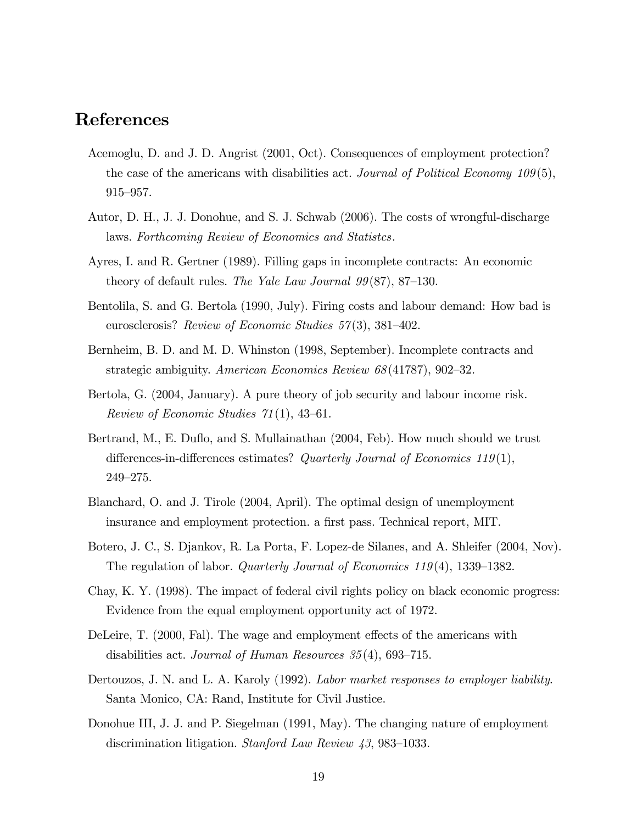# References

- Acemoglu, D. and J. D. Angrist (2001, Oct). Consequences of employment protection? the case of the americans with disabilities act. Journal of Political Economy  $109(5)$ ,  $915 - 957.$
- Autor, D. H., J. J. Donohue, and S. J. Schwab (2006). The costs of wrongful-discharge laws. Forthcoming Review of Economics and Statistcs.
- Ayres, I. and R. Gertner (1989). Filling gaps in incomplete contracts: An economic theory of default rules. The Yale Law Journal  $99(87)$ , 87–130.
- Bentolila, S. and G. Bertola (1990, July). Firing costs and labour demand: How bad is eurosclerosis? Review of Economic Studies  $57(3)$ , 381-402.
- Bernheim, B. D. and M. D. Whinston (1998, September). Incomplete contracts and strategic ambiguity. American Economics Review  $68(41787), 902-32$ .
- Bertola, G. (2004, January). A pure theory of job security and labour income risk. Review of Economic Studies  $71(1)$ , 43–61.
- Bertrand, M., E. Duflo, and S. Mullainathan (2004, Feb). How much should we trust differences-in-differences estimates? Quarterly Journal of Economics 119(1),  $249 - 275.$
- Blanchard, O. and J. Tirole (2004, April). The optimal design of unemployment insurance and employment protection. a first pass. Technical report, MIT.
- Botero, J. C., S. Djankov, R. La Porta, F. Lopez-de Silanes, and A. Shleifer (2004, Nov). The regulation of labor. *Quarterly Journal of Economics*  $119(4)$ , 1339–1382.
- Chay, K. Y. (1998). The impact of federal civil rights policy on black economic progress: Evidence from the equal employment opportunity act of 1972.
- DeLeire, T. (2000, Fal). The wage and employment effects of the americans with disabilities act. Journal of Human Resources  $35(4)$ , 693–715.
- Dertouzos, J. N. and L. A. Karoly (1992). Labor market responses to employer liability. Santa Monico, CA: Rand, Institute for Civil Justice.
- Donohue III, J. J. and P. Siegelman (1991, May). The changing nature of employment discrimination litigation. Stanford Law Review  $43,983-1033$ .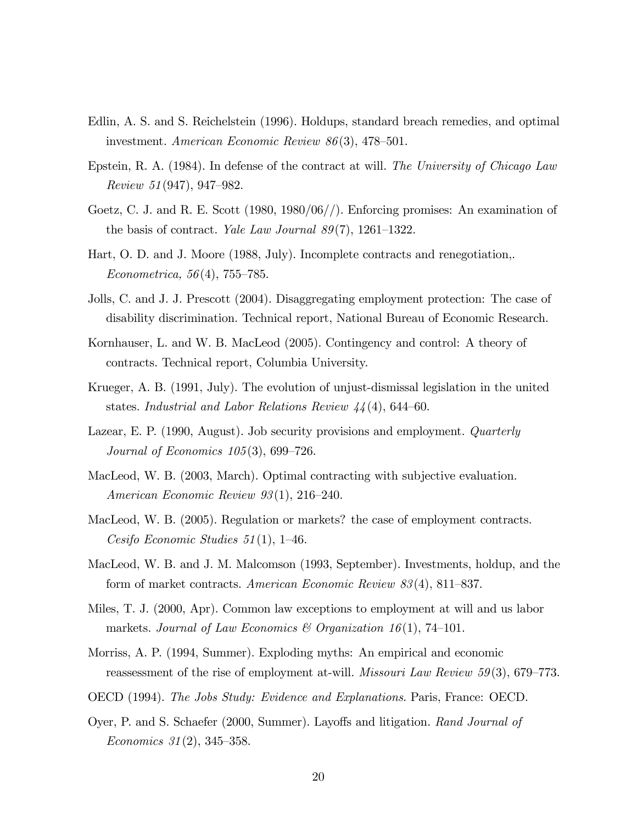- Edlin, A. S. and S. Reichelstein (1996). Holdups, standard breach remedies, and optimal investment. American Economic Review  $86(3)$ , 478-501.
- Epstein, R. A. (1984). In defense of the contract at will. The University of Chicago Law Review 51(947), 947–982.
- Goetz, C. J. and R. E. Scott (1980, 1980/06//). Enforcing promises: An examination of the basis of contract. Yale Law Journal  $89(7)$ , 1261–1322.
- Hart, O. D. and J. Moore (1988, July). Incomplete contracts and renegotiation,. Econometrica,  $56(4)$ , 755–785.
- Jolls, C. and J. J. Prescott (2004). Disaggregating employment protection: The case of disability discrimination. Technical report, National Bureau of Economic Research.
- Kornhauser, L. and W. B. MacLeod (2005). Contingency and control: A theory of contracts. Technical report, Columbia University.
- Krueger, A. B. (1991, July). The evolution of unjust-dismissal legislation in the united states. Industrial and Labor Relations Review  $44(4)$ , 644–60.
- Lazear, E. P. (1990, August). Job security provisions and employment. *Quarterly* Journal of Economics  $105(3)$ , 699–726.
- MacLeod, W. B. (2003, March). Optimal contracting with subjective evaluation. American Economic Review  $93(1)$ ,  $216-240$ .
- MacLeod, W. B. (2005). Regulation or markets? the case of employment contracts. Cesifo Economic Studies  $51(1)$ , 1–46.
- MacLeod, W. B. and J. M. Malcomson (1993, September). Investments, holdup, and the form of market contracts. American Economic Review  $83(4)$ , 811–837.
- Miles, T. J. (2000, Apr). Common law exceptions to employment at will and us labor markets. Journal of Law Economics & Organization 16(1), 74–101.
- Morriss, A. P. (1994, Summer). Exploding myths: An empirical and economic reassessment of the rise of employment at-will. *Missouri Law Review 59*(3), 679–773.
- OECD (1994). The Jobs Study: Evidence and Explanations. Paris, France: OECD.
- Oyer, P. and S. Schaefer (2000, Summer). Layoffs and litigation. Rand Journal of Economics  $31(2)$ ,  $345-358$ .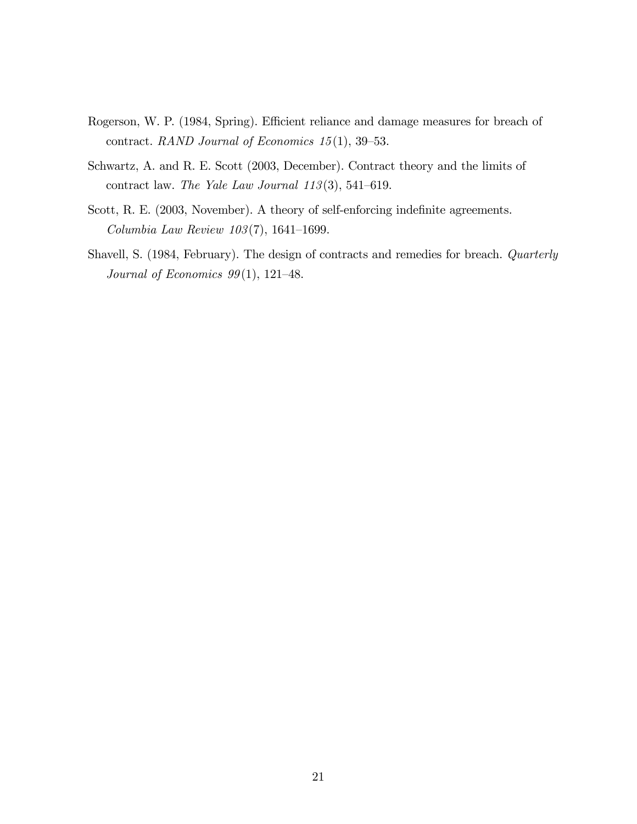- Rogerson, W. P. (1984, Spring). Efficient reliance and damage measures for breach of contract. RAND Journal of Economics  $15(1)$ , 39-53.
- Schwartz, A. and R. E. Scott (2003, December). Contract theory and the limits of contract law. The Yale Law Journal  $113(3)$ , 541–619.
- Scott, R. E. (2003, November). A theory of self-enforcing indefinite agreements. Columbia Law Review  $103(7)$ , 1641–1699.
- Shavell, S. (1984, February). The design of contracts and remedies for breach. Quarterly Journal of Economics  $99(1)$ , 121-48.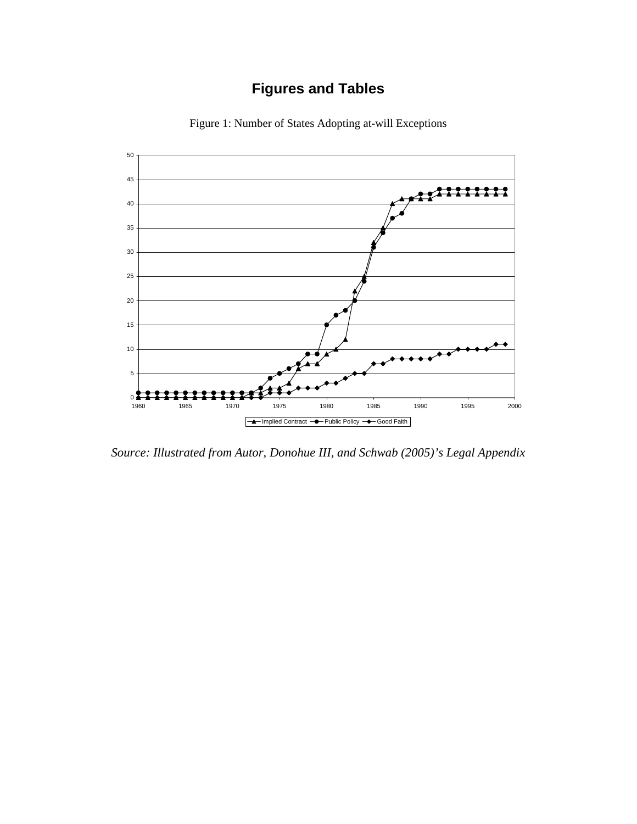# **Figures and Tables**



Figure 1: Number of States Adopting at-will Exceptions

*Source: Illustrated from Autor, Donohue III, and Schwab (2005)'s Legal Appendix*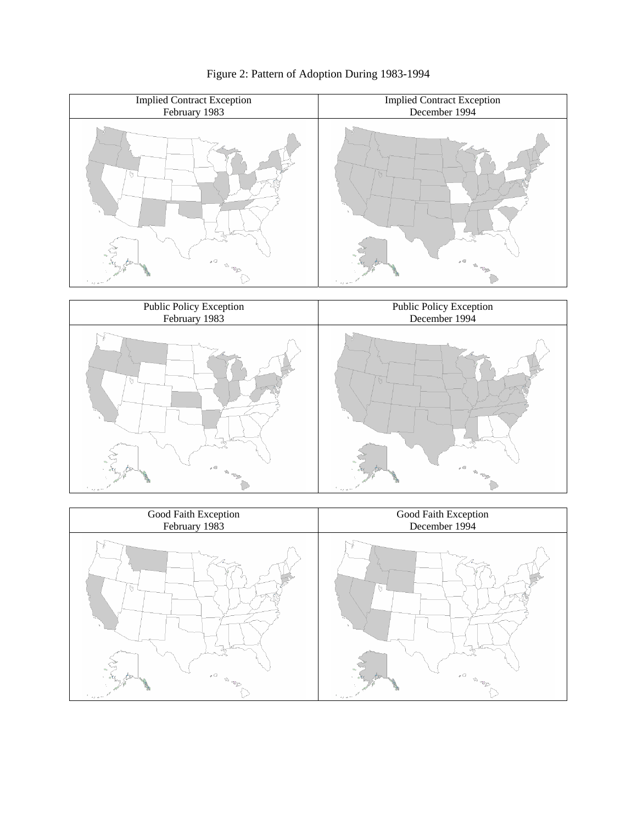

Figure 2: Pattern of Adoption During 1983-1994



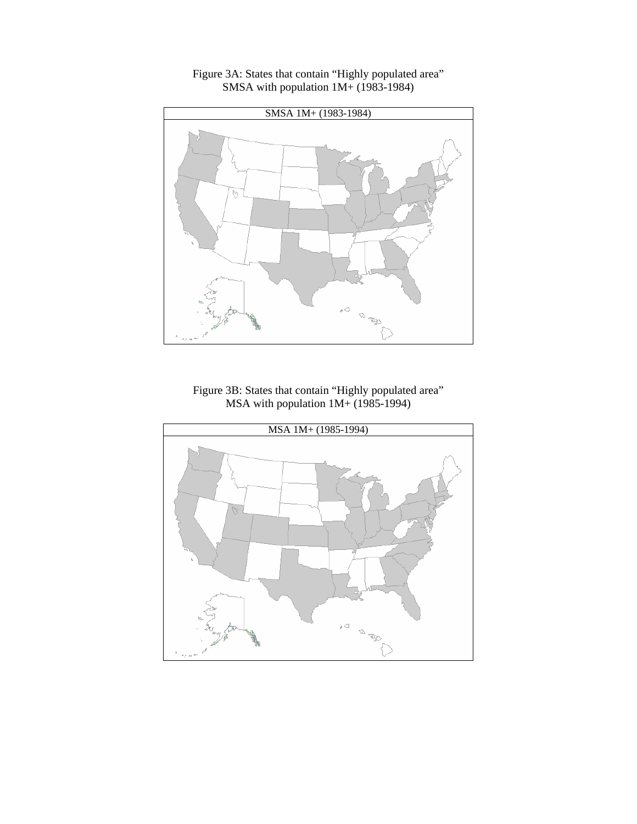

## Figure 3A: States that contain "Highly populated area" SMSA with population  $1M+ (1983-1984)$

Figure 3B: States that contain "Highly populated area" MSA with population  $1M + (1985-1994)$ 

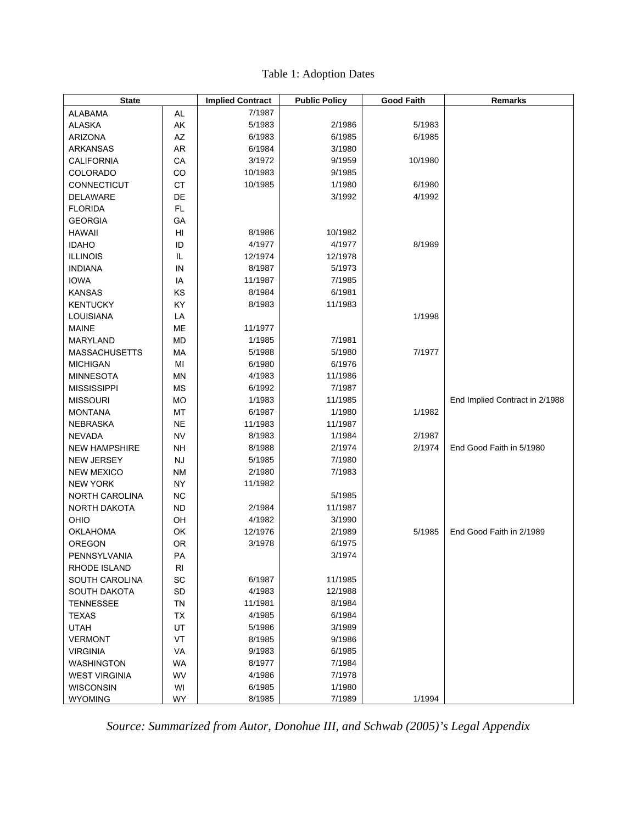| <b>State</b>         |            | <b>Implied Contract</b> | <b>Public Policy</b> | <b>Good Faith</b> | Remarks                        |
|----------------------|------------|-------------------------|----------------------|-------------------|--------------------------------|
| ALABAMA              | AL         | 7/1987                  |                      |                   |                                |
| <b>ALASKA</b>        | AK         | 5/1983                  | 2/1986               | 5/1983            |                                |
| <b>ARIZONA</b>       | AZ         | 6/1983                  | 6/1985               | 6/1985            |                                |
| ARKANSAS             | <b>AR</b>  | 6/1984                  | 3/1980               |                   |                                |
| <b>CALIFORNIA</b>    | CA         | 3/1972                  | 9/1959               | 10/1980           |                                |
| COLORADO             | CO         | 10/1983                 | 9/1985               |                   |                                |
| CONNECTICUT          | CT         | 10/1985                 | 1/1980               | 6/1980            |                                |
| DELAWARE             | DE         |                         | 3/1992               | 4/1992            |                                |
| <b>FLORIDA</b>       | FL.        |                         |                      |                   |                                |
| <b>GEORGIA</b>       | GA         |                         |                      |                   |                                |
| <b>HAWAII</b>        | HI         | 8/1986                  | 10/1982              |                   |                                |
| <b>IDAHO</b>         | ID         | 4/1977                  | 4/1977               | 8/1989            |                                |
| <b>ILLINOIS</b>      | IL         | 12/1974                 | 12/1978              |                   |                                |
| <b>INDIANA</b>       | IN         | 8/1987                  | 5/1973               |                   |                                |
| <b>IOWA</b>          | IA         | 11/1987                 | 7/1985               |                   |                                |
| <b>KANSAS</b>        | ΚS         | 8/1984                  | 6/1981               |                   |                                |
| <b>KENTUCKY</b>      | KY         | 8/1983                  | 11/1983              |                   |                                |
| LOUISIANA            | LA         |                         |                      | 1/1998            |                                |
| <b>MAINE</b>         | ME         | 11/1977                 |                      |                   |                                |
| MARYLAND             | <b>MD</b>  | 1/1985                  | 7/1981               |                   |                                |
| <b>MASSACHUSETTS</b> | MA         | 5/1988                  | 5/1980               | 7/1977            |                                |
| <b>MICHIGAN</b>      | MI         | 6/1980                  | 6/1976               |                   |                                |
| <b>MINNESOTA</b>     | MN         | 4/1983                  | 11/1986              |                   |                                |
| <b>MISSISSIPPI</b>   | <b>MS</b>  | 6/1992                  | 7/1987               |                   |                                |
| <b>MISSOURI</b>      | MO         | 1/1983                  | 11/1985              |                   | End Implied Contract in 2/1988 |
| <b>MONTANA</b>       | MT         | 6/1987                  | 1/1980               | 1/1982            |                                |
| NEBRASKA             | <b>NE</b>  | 11/1983                 | 11/1987              |                   |                                |
| NEVADA               | <b>NV</b>  | 8/1983                  | 1/1984               | 2/1987            |                                |
| <b>NEW HAMPSHIRE</b> | <b>NH</b>  | 8/1988                  | 2/1974               | 2/1974            | End Good Faith in 5/1980       |
| <b>NEW JERSEY</b>    | <b>NJ</b>  | 5/1985                  | 7/1980               |                   |                                |
| <b>NEW MEXICO</b>    | <b>NM</b>  | 2/1980                  | 7/1983               |                   |                                |
| <b>NEW YORK</b>      | <b>NY</b>  | 11/1982                 |                      |                   |                                |
| NORTH CAROLINA       | <b>NC</b>  |                         | 5/1985               |                   |                                |
| NORTH DAKOTA         | <b>ND</b>  | 2/1984                  | 11/1987              |                   |                                |
| OHIO                 | OH         | 4/1982                  | 3/1990               |                   |                                |
| OKLAHOMA             | OK         | 12/1976                 | 2/1989               | 5/1985            | End Good Faith in 2/1989       |
| <b>OREGON</b>        | <b>OR</b>  | 3/1978                  | 6/1975               |                   |                                |
| PENNSYLVANIA         | ${\sf PA}$ |                         | 3/1974               |                   |                                |
| RHODE ISLAND         | RI         |                         |                      |                   |                                |
| SOUTH CAROLINA       | SC         | 6/1987                  | 11/1985              |                   |                                |
| SOUTH DAKOTA         | SD         | 4/1983                  | 12/1988              |                   |                                |
| <b>TENNESSEE</b>     | TN         | 11/1981                 | 8/1984               |                   |                                |
| <b>TEXAS</b>         | TX         | 4/1985                  | 6/1984               |                   |                                |
| <b>UTAH</b>          | UT         | 5/1986                  | 3/1989               |                   |                                |
| <b>VERMONT</b>       | VT         | 8/1985                  | 9/1986               |                   |                                |
| <b>VIRGINIA</b>      | VA         | 9/1983                  | 6/1985               |                   |                                |
| <b>WASHINGTON</b>    | WA         | 8/1977                  | 7/1984               |                   |                                |
| <b>WEST VIRGINIA</b> | WV         | 4/1986                  | 7/1978               |                   |                                |
| <b>WISCONSIN</b>     | WI         | 6/1985                  | 1/1980               |                   |                                |
| <b>WYOMING</b>       | WY         | 8/1985                  | 7/1989               | 1/1994            |                                |

Table 1: Adoption Dates

*Source: Summarized from Autor, Donohue III, and Schwab (2005)'s Legal Appendix*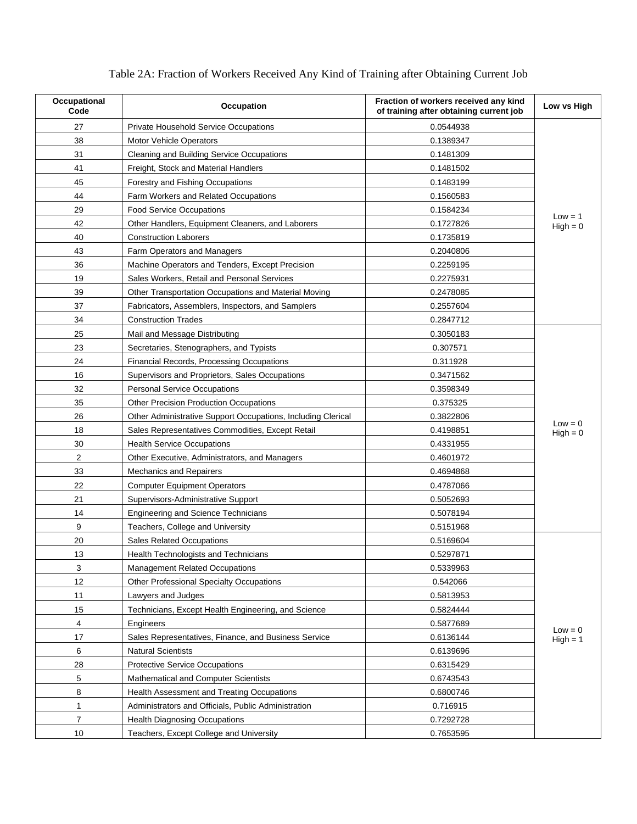| Occupational<br>Code | Occupation                                                   | Fraction of workers received any kind<br>of training after obtaining current job | Low vs High             |
|----------------------|--------------------------------------------------------------|----------------------------------------------------------------------------------|-------------------------|
| 27                   | Private Household Service Occupations                        | 0.0544938                                                                        |                         |
| 38                   | <b>Motor Vehicle Operators</b>                               | 0.1389347                                                                        |                         |
| 31                   | Cleaning and Building Service Occupations                    | 0.1481309                                                                        |                         |
| 41                   | Freight, Stock and Material Handlers                         | 0.1481502                                                                        |                         |
| 45                   | Forestry and Fishing Occupations                             | 0.1483199                                                                        |                         |
| 44                   | Farm Workers and Related Occupations                         | 0.1560583                                                                        |                         |
| 29                   | <b>Food Service Occupations</b>                              | 0.1584234                                                                        |                         |
| 42                   | Other Handlers, Equipment Cleaners, and Laborers             | 0.1727826                                                                        | $Low = 1$<br>$High = 0$ |
| 40                   | <b>Construction Laborers</b>                                 | 0.1735819                                                                        |                         |
| 43                   | Farm Operators and Managers                                  | 0.2040806                                                                        |                         |
| 36                   | Machine Operators and Tenders, Except Precision              | 0.2259195                                                                        |                         |
| 19                   | Sales Workers, Retail and Personal Services                  | 0.2275931                                                                        |                         |
| 39                   | Other Transportation Occupations and Material Moving         | 0.2478085                                                                        |                         |
| 37                   | Fabricators, Assemblers, Inspectors, and Samplers            | 0.2557604                                                                        |                         |
| 34                   | <b>Construction Trades</b>                                   | 0.2847712                                                                        |                         |
| 25                   | Mail and Message Distributing                                | 0.3050183                                                                        |                         |
| 23                   | Secretaries, Stenographers, and Typists                      | 0.307571                                                                         |                         |
| 24                   | <b>Financial Records, Processing Occupations</b>             | 0.311928                                                                         |                         |
| 16                   | Supervisors and Proprietors, Sales Occupations               | 0.3471562                                                                        |                         |
| 32                   | <b>Personal Service Occupations</b>                          | 0.3598349                                                                        |                         |
| 35                   | <b>Other Precision Production Occupations</b>                | 0.375325                                                                         |                         |
| 26                   | Other Administrative Support Occupations, Including Clerical | 0.3822806                                                                        | $Low = 0$               |
| 18                   | Sales Representatives Commodities, Except Retail             | 0.4198851                                                                        | $High = 0$              |
| 30                   | <b>Health Service Occupations</b>                            | 0.4331955                                                                        |                         |
| $\overline{2}$       | Other Executive, Administrators, and Managers                | 0.4601972                                                                        |                         |
| 33                   | <b>Mechanics and Repairers</b>                               | 0.4694868                                                                        |                         |
| 22                   | <b>Computer Equipment Operators</b>                          | 0.4787066                                                                        |                         |
| 21                   | Supervisors-Administrative Support                           | 0.5052693                                                                        |                         |
| 14                   | <b>Engineering and Science Technicians</b>                   | 0.5078194                                                                        |                         |
| 9                    | Teachers, College and University                             | 0.5151968                                                                        |                         |
| 20                   | <b>Sales Related Occupations</b>                             | 0.5169604                                                                        |                         |
| 13                   | <b>Health Technologists and Technicians</b>                  | 0.5297871                                                                        |                         |
| 3                    | <b>Management Related Occupations</b>                        | 0.5339963                                                                        |                         |
| 12                   | <b>Other Professional Specialty Occupations</b>              | 0.542066                                                                         |                         |
| 11                   | Lawyers and Judges                                           | 0.5813953                                                                        |                         |
| 15                   | Technicians, Except Health Engineering, and Science          | 0.5824444                                                                        |                         |
| 4                    | Engineers                                                    | 0.5877689                                                                        | $Low = 0$               |
| 17                   | Sales Representatives, Finance, and Business Service         | 0.6136144                                                                        | $High = 1$              |
| 6                    | <b>Natural Scientists</b>                                    | 0.6139696                                                                        |                         |
| 28                   | <b>Protective Service Occupations</b>                        | 0.6315429                                                                        |                         |
| 5                    | <b>Mathematical and Computer Scientists</b>                  | 0.6743543                                                                        |                         |
| 8                    | Health Assessment and Treating Occupations                   | 0.6800746                                                                        |                         |
| $\mathbf{1}$         | Administrators and Officials, Public Administration          | 0.716915                                                                         |                         |
| $\overline{7}$       | <b>Health Diagnosing Occupations</b>                         | 0.7292728                                                                        |                         |
| 10                   | Teachers, Except College and University                      | 0.7653595                                                                        |                         |

## Table 2A: Fraction of Workers Received Any Kind of Training after Obtaining Current Job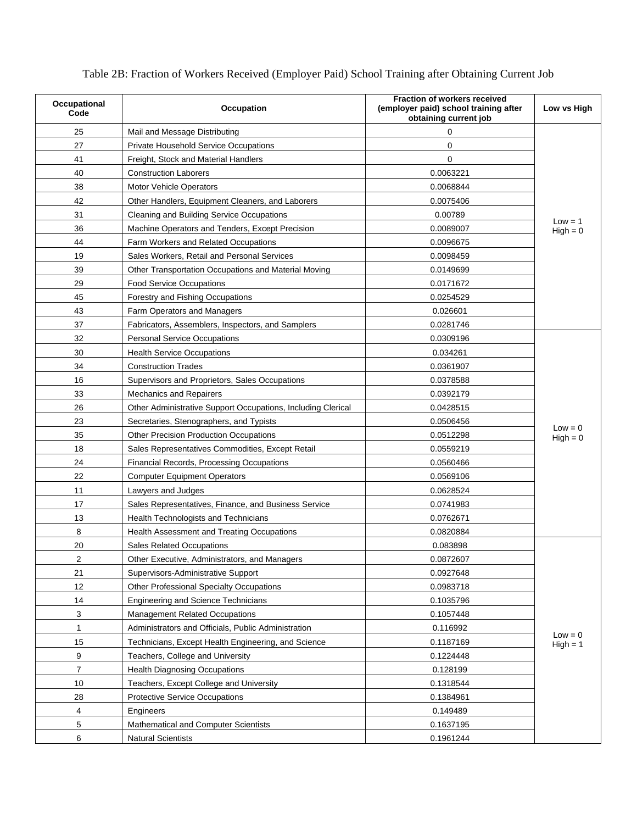| Occupational<br>Code | <b>Occupation</b>                                            | <b>Fraction of workers received</b><br>(employer paid) school training after<br>obtaining current job | Low vs High             |
|----------------------|--------------------------------------------------------------|-------------------------------------------------------------------------------------------------------|-------------------------|
| 25                   | Mail and Message Distributing                                | $\mathbf 0$                                                                                           |                         |
| 27                   | Private Household Service Occupations                        | 0                                                                                                     |                         |
| 41                   | Freight, Stock and Material Handlers                         | $\Omega$                                                                                              |                         |
| 40                   | <b>Construction Laborers</b>                                 | 0.0063221                                                                                             |                         |
| 38                   | <b>Motor Vehicle Operators</b>                               | 0.0068844                                                                                             |                         |
| 42                   | Other Handlers, Equipment Cleaners, and Laborers             | 0.0075406                                                                                             |                         |
| 31                   | Cleaning and Building Service Occupations                    | 0.00789                                                                                               |                         |
| 36                   | Machine Operators and Tenders, Except Precision              | 0.0089007                                                                                             | $Low = 1$<br>$High = 0$ |
| 44                   | Farm Workers and Related Occupations                         | 0.0096675                                                                                             |                         |
| 19                   | Sales Workers, Retail and Personal Services                  | 0.0098459                                                                                             |                         |
| 39                   | Other Transportation Occupations and Material Moving         | 0.0149699                                                                                             |                         |
| 29                   | <b>Food Service Occupations</b>                              | 0.0171672                                                                                             |                         |
| 45                   | Forestry and Fishing Occupations                             | 0.0254529                                                                                             |                         |
| 43                   | Farm Operators and Managers                                  | 0.026601                                                                                              |                         |
| 37                   | Fabricators, Assemblers, Inspectors, and Samplers            | 0.0281746                                                                                             |                         |
| 32                   | <b>Personal Service Occupations</b>                          | 0.0309196                                                                                             |                         |
| 30                   | <b>Health Service Occupations</b>                            | 0.034261                                                                                              |                         |
| 34                   | <b>Construction Trades</b>                                   | 0.0361907                                                                                             |                         |
| 16                   | Supervisors and Proprietors, Sales Occupations               | 0.0378588                                                                                             |                         |
| 33                   | <b>Mechanics and Repairers</b>                               | 0.0392179                                                                                             |                         |
| 26                   | Other Administrative Support Occupations, Including Clerical | 0.0428515                                                                                             |                         |
| 23                   | Secretaries, Stenographers, and Typists                      | 0.0506456                                                                                             |                         |
| 35                   | <b>Other Precision Production Occupations</b>                | 0.0512298                                                                                             | $Low = 0$<br>$High = 0$ |
| 18                   | Sales Representatives Commodities, Except Retail             | 0.0559219                                                                                             |                         |
| 24                   | <b>Financial Records, Processing Occupations</b>             | 0.0560466                                                                                             |                         |
| 22                   | <b>Computer Equipment Operators</b>                          | 0.0569106                                                                                             |                         |
| 11                   | Lawyers and Judges                                           | 0.0628524                                                                                             |                         |
| 17                   | Sales Representatives, Finance, and Business Service         | 0.0741983                                                                                             |                         |
| 13                   | Health Technologists and Technicians                         | 0.0762671                                                                                             |                         |
| 8                    | Health Assessment and Treating Occupations                   | 0.0820884                                                                                             |                         |
| 20                   | <b>Sales Related Occupations</b>                             | 0.083898                                                                                              |                         |
| 2                    | Other Executive, Administrators, and Managers                | 0.0872607                                                                                             |                         |
| 21                   | Supervisors-Administrative Support                           | 0.0927648                                                                                             |                         |
| 12                   | <b>Other Professional Specialty Occupations</b>              | 0.0983718                                                                                             |                         |
| 14                   | <b>Engineering and Science Technicians</b>                   | 0.1035796                                                                                             |                         |
| 3                    | <b>Management Related Occupations</b>                        | 0.1057448                                                                                             |                         |
| 1                    | Administrators and Officials, Public Administration          | 0.116992                                                                                              |                         |
| 15                   | Technicians, Except Health Engineering, and Science          | 0.1187169                                                                                             | $Low = 0$<br>$High = 1$ |
| 9                    | Teachers, College and University                             | 0.1224448                                                                                             |                         |
| $\overline{7}$       | <b>Health Diagnosing Occupations</b>                         | 0.128199                                                                                              |                         |
| 10                   | Teachers, Except College and University                      | 0.1318544                                                                                             |                         |
| 28                   | <b>Protective Service Occupations</b>                        | 0.1384961                                                                                             |                         |
| 4                    | Engineers                                                    | 0.149489                                                                                              |                         |
| 5                    | Mathematical and Computer Scientists                         | 0.1637195                                                                                             |                         |
| 6                    | <b>Natural Scientists</b>                                    | 0.1961244                                                                                             |                         |

Table 2B: Fraction of Workers Received (Employer Paid) School Training after Obtaining Current Job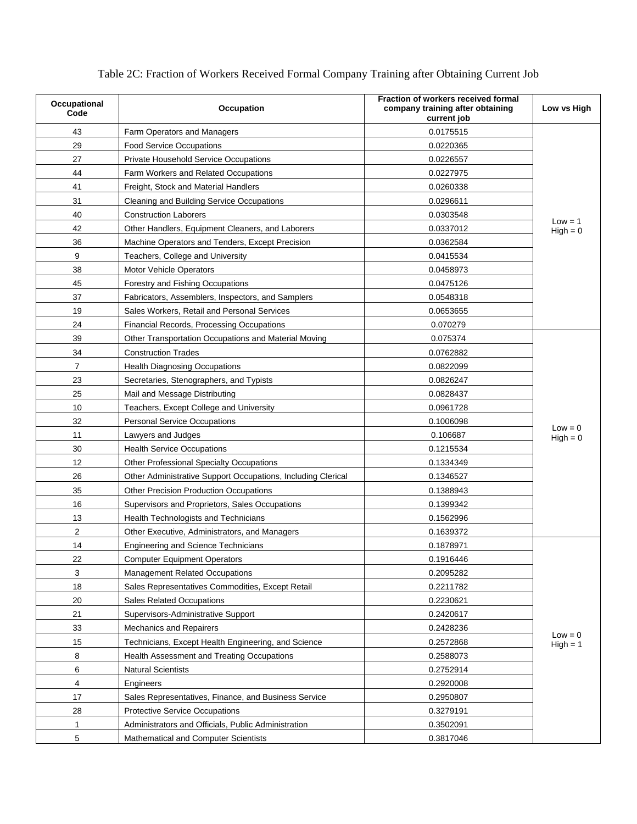| Occupational<br>Code | <b>Occupation</b>                                            | Fraction of workers received formal<br>company training after obtaining<br>current job | Low vs High             |
|----------------------|--------------------------------------------------------------|----------------------------------------------------------------------------------------|-------------------------|
| 43                   | Farm Operators and Managers                                  | 0.0175515                                                                              |                         |
| 29                   | <b>Food Service Occupations</b>                              | 0.0220365                                                                              |                         |
| 27                   | Private Household Service Occupations                        | 0.0226557                                                                              |                         |
| 44                   | Farm Workers and Related Occupations                         | 0.0227975                                                                              |                         |
| 41                   | Freight, Stock and Material Handlers                         | 0.0260338                                                                              |                         |
| 31                   | Cleaning and Building Service Occupations                    | 0.0296611                                                                              |                         |
| 40                   | <b>Construction Laborers</b>                                 | 0.0303548                                                                              |                         |
| 42                   | Other Handlers, Equipment Cleaners, and Laborers             | 0.0337012                                                                              | $Low = 1$<br>$High = 0$ |
| 36                   | Machine Operators and Tenders, Except Precision              | 0.0362584                                                                              |                         |
| 9                    | Teachers, College and University                             | 0.0415534                                                                              |                         |
| 38                   | <b>Motor Vehicle Operators</b>                               | 0.0458973                                                                              |                         |
| 45                   | Forestry and Fishing Occupations                             | 0.0475126                                                                              |                         |
| 37                   | Fabricators, Assemblers, Inspectors, and Samplers            | 0.0548318                                                                              |                         |
| 19                   | Sales Workers, Retail and Personal Services                  | 0.0653655                                                                              |                         |
| 24                   | Financial Records, Processing Occupations                    | 0.070279                                                                               |                         |
| 39                   | Other Transportation Occupations and Material Moving         | 0.075374                                                                               |                         |
| 34                   | <b>Construction Trades</b>                                   | 0.0762882                                                                              |                         |
| $\overline{7}$       | <b>Health Diagnosing Occupations</b>                         | 0.0822099                                                                              |                         |
| 23                   | Secretaries, Stenographers, and Typists                      | 0.0826247                                                                              |                         |
| 25                   | Mail and Message Distributing                                | 0.0828437                                                                              |                         |
| 10                   | Teachers, Except College and University                      | 0.0961728                                                                              |                         |
| 32                   | <b>Personal Service Occupations</b>                          | 0.1006098                                                                              |                         |
| 11                   | Lawyers and Judges                                           | 0.106687                                                                               | $Low = 0$<br>$High = 0$ |
| 30                   | <b>Health Service Occupations</b>                            | 0.1215534                                                                              |                         |
| 12                   | Other Professional Specialty Occupations                     | 0.1334349                                                                              |                         |
| 26                   | Other Administrative Support Occupations, Including Clerical | 0.1346527                                                                              |                         |
| 35                   | Other Precision Production Occupations                       | 0.1388943                                                                              |                         |
| 16                   | Supervisors and Proprietors, Sales Occupations               | 0.1399342                                                                              |                         |
| 13                   | <b>Health Technologists and Technicians</b>                  | 0.1562996                                                                              |                         |
| $\overline{c}$       | Other Executive, Administrators, and Managers                | 0.1639372                                                                              |                         |
| 14                   | <b>Engineering and Science Technicians</b>                   | 0.1878971                                                                              |                         |
| 22                   | <b>Computer Equipment Operators</b>                          | 0.1916446                                                                              |                         |
| 3                    | <b>Management Related Occupations</b>                        | 0.2095282                                                                              |                         |
| 18                   | Sales Representatives Commodities, Except Retail             | 0.2211782                                                                              |                         |
| 20                   | <b>Sales Related Occupations</b>                             | 0.2230621                                                                              |                         |
| 21                   | Supervisors-Administrative Support                           | 0.2420617                                                                              |                         |
| 33                   | <b>Mechanics and Repairers</b>                               | 0.2428236                                                                              |                         |
| 15                   | Technicians, Except Health Engineering, and Science          | 0.2572868                                                                              | $Low = 0$<br>$High = 1$ |
| 8                    | Health Assessment and Treating Occupations                   | 0.2588073                                                                              |                         |
| 6                    | <b>Natural Scientists</b>                                    | 0.2752914                                                                              |                         |
| 4                    | Engineers                                                    | 0.2920008                                                                              |                         |
| 17                   | Sales Representatives, Finance, and Business Service         | 0.2950807                                                                              |                         |
| 28                   | <b>Protective Service Occupations</b>                        | 0.3279191                                                                              |                         |
| 1                    | Administrators and Officials, Public Administration          | 0.3502091                                                                              |                         |
| 5                    | Mathematical and Computer Scientists                         | 0.3817046                                                                              |                         |

Table 2C: Fraction of Workers Received Formal Company Training after Obtaining Current Job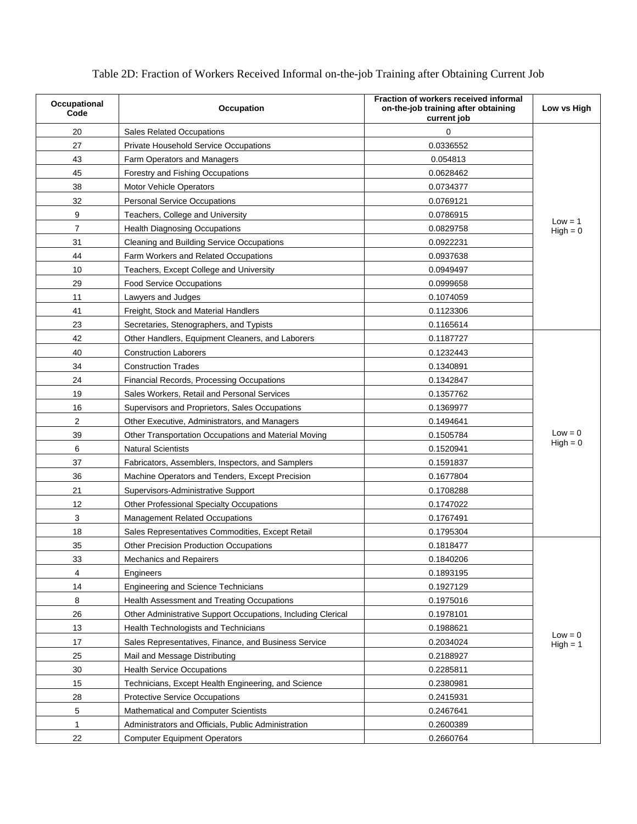| Occupational<br>Code | Occupation                                                   | Fraction of workers received informal<br>on-the-job training after obtaining<br>current job | Low vs High             |
|----------------------|--------------------------------------------------------------|---------------------------------------------------------------------------------------------|-------------------------|
| 20                   | <b>Sales Related Occupations</b>                             | $\Omega$                                                                                    |                         |
| 27                   | <b>Private Household Service Occupations</b>                 | 0.0336552                                                                                   |                         |
| 43                   | Farm Operators and Managers                                  | 0.054813                                                                                    |                         |
| 45                   | Forestry and Fishing Occupations                             | 0.0628462                                                                                   |                         |
| 38                   | <b>Motor Vehicle Operators</b>                               | 0.0734377                                                                                   |                         |
| 32                   | <b>Personal Service Occupations</b>                          | 0.0769121                                                                                   |                         |
| 9                    | Teachers, College and University                             | 0.0786915                                                                                   |                         |
| 7                    | <b>Health Diagnosing Occupations</b>                         | 0.0829758                                                                                   | $Low = 1$<br>$High = 0$ |
| 31                   | Cleaning and Building Service Occupations                    | 0.0922231                                                                                   |                         |
| 44                   | Farm Workers and Related Occupations                         | 0.0937638                                                                                   |                         |
| 10                   | Teachers, Except College and University                      | 0.0949497                                                                                   |                         |
| 29                   | <b>Food Service Occupations</b>                              | 0.0999658                                                                                   |                         |
| 11                   | Lawyers and Judges                                           | 0.1074059                                                                                   |                         |
| 41                   | Freight, Stock and Material Handlers                         | 0.1123306                                                                                   |                         |
| 23                   | Secretaries, Stenographers, and Typists                      | 0.1165614                                                                                   |                         |
| 42                   | Other Handlers, Equipment Cleaners, and Laborers             | 0.1187727                                                                                   |                         |
| 40                   | <b>Construction Laborers</b>                                 | 0.1232443                                                                                   |                         |
| 34                   | <b>Construction Trades</b>                                   | 0.1340891                                                                                   |                         |
| 24                   | Financial Records, Processing Occupations                    | 0.1342847                                                                                   |                         |
| 19                   | Sales Workers, Retail and Personal Services                  | 0.1357762                                                                                   |                         |
| 16                   | Supervisors and Proprietors, Sales Occupations               | 0.1369977                                                                                   |                         |
| $\overline{2}$       | Other Executive, Administrators, and Managers                | 0.1494641                                                                                   |                         |
| 39                   | Other Transportation Occupations and Material Moving         | 0.1505784                                                                                   | $Low = 0$               |
| 6                    | <b>Natural Scientists</b>                                    | 0.1520941                                                                                   | $High = 0$              |
| 37                   | Fabricators, Assemblers, Inspectors, and Samplers            | 0.1591837                                                                                   |                         |
| 36                   | Machine Operators and Tenders, Except Precision              | 0.1677804                                                                                   |                         |
| 21                   | Supervisors-Administrative Support                           | 0.1708288                                                                                   |                         |
| 12                   | <b>Other Professional Specialty Occupations</b>              | 0.1747022                                                                                   |                         |
| 3                    | <b>Management Related Occupations</b>                        | 0.1767491                                                                                   |                         |
| 18                   | Sales Representatives Commodities, Except Retail             | 0.1795304                                                                                   |                         |
| 35                   | <b>Other Precision Production Occupations</b>                | 0.1818477                                                                                   |                         |
| 33                   | <b>Mechanics and Repairers</b>                               | 0.1840206                                                                                   |                         |
| $\overline{4}$       | Engineers                                                    | 0.1893195                                                                                   |                         |
| 14                   | <b>Engineering and Science Technicians</b>                   | 0.1927129                                                                                   |                         |
| 8                    | Health Assessment and Treating Occupations                   | 0.1975016                                                                                   |                         |
| 26                   | Other Administrative Support Occupations, Including Clerical | 0.1978101                                                                                   |                         |
| 13                   | Health Technologists and Technicians                         | 0.1988621                                                                                   | $Low = 0$               |
| 17                   | Sales Representatives, Finance, and Business Service         | 0.2034024                                                                                   | $High = 1$              |
| 25                   | Mail and Message Distributing                                | 0.2188927                                                                                   |                         |
| 30                   | <b>Health Service Occupations</b>                            | 0.2285811                                                                                   |                         |
| 15                   | Technicians, Except Health Engineering, and Science          | 0.2380981                                                                                   |                         |
| 28                   | Protective Service Occupations                               | 0.2415931                                                                                   |                         |
| 5                    | Mathematical and Computer Scientists                         | 0.2467641                                                                                   |                         |
| 1                    | Administrators and Officials, Public Administration          | 0.2600389                                                                                   |                         |
| 22                   | <b>Computer Equipment Operators</b>                          | 0.2660764                                                                                   |                         |

Table 2D: Fraction of Workers Received Informal on-the-job Training after Obtaining Current Job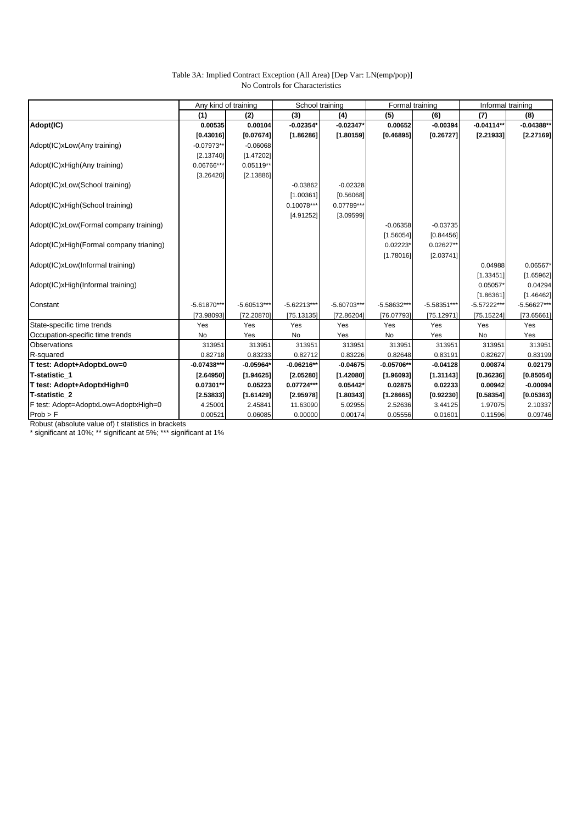### Table 3A: Implied Contract Exception (All Area) [Dep Var: LN(emp/pop)] No Controls for Characteristics

|                                         | Any kind of training |               | School training |               | Formal training |               | Informal training |               |
|-----------------------------------------|----------------------|---------------|-----------------|---------------|-----------------|---------------|-------------------|---------------|
|                                         | (1)                  | (2)           | (3)             | (4)           | (5)             | (6)           | (7)               | (8)           |
| Adopt(IC)                               | 0.00535              | 0.00104       | $-0.02354'$     | $-0.02347*$   | 0.00652         | $-0.00394$    | $-0.04114**$      | $-0.04388**$  |
|                                         | [0.43016]            | [0.07674]     | [1.86286]       | [1.80159]     | [0.46895]       | [0.26727]     | [2.21933]         | [2.27169]     |
| Adopt(IC)xLow(Any training)             | $-0.07973**$         | $-0.06068$    |                 |               |                 |               |                   |               |
|                                         | [2.13740]            | [1.47202]     |                 |               |                 |               |                   |               |
| Adopt(IC)xHigh(Any training)            | 0.06766***           | $0.05119**$   |                 |               |                 |               |                   |               |
|                                         | [3.26420]            | [2.13886]     |                 |               |                 |               |                   |               |
| Adopt(IC)xLow(School training)          |                      |               | $-0.03862$      | $-0.02328$    |                 |               |                   |               |
|                                         |                      |               | [1.00361]       | [0.56068]     |                 |               |                   |               |
| Adopt(IC)xHigh(School training)         |                      |               | $0.10078***$    | 0.07789***    |                 |               |                   |               |
|                                         |                      |               | [4.91252]       | [3.09599]     |                 |               |                   |               |
| Adopt(IC)xLow(Formal company training)  |                      |               |                 |               | $-0.06358$      | $-0.03735$    |                   |               |
|                                         |                      |               |                 |               | [1.56054]       | [0.84456]     |                   |               |
| Adopt(IC)xHigh(Formal company trianing) |                      |               |                 |               | $0.02223*$      | $0.02627**$   |                   |               |
|                                         |                      |               |                 |               | [1.78016]       | [2.03741]     |                   |               |
| Adopt(IC)xLow(Informal training)        |                      |               |                 |               |                 |               | 0.04988           | $0.06567*$    |
|                                         |                      |               |                 |               |                 |               | [1.33451]         | [1.65962]     |
| Adopt(IC)xHigh(Informal training)       |                      |               |                 |               |                 |               | 0.05057*          | 0.04294       |
|                                         |                      |               |                 |               |                 |               | [1.86361]         | [1.46462]     |
| Constant                                | $-5.61870***$        | $-5.60513***$ | $-5.62213***$   | $-5.60703***$ | $-5.58632***$   | $-5.58351***$ | $-5.57222***$     | $-5.56627***$ |
|                                         | [73.98093]           | [72.20870]    | [75.13135]      | [72.86204]    | [76.07793]      | [75.12971]    | [75.15224]        | [73.65661]    |
| State-specific time trends              | Yes                  | Yes           | Yes             | Yes           | Yes             | Yes           | Yes               | Yes           |
| Occupation-specific time trends         | No                   | Yes           | No              | Yes           | No              | Yes           | No                | Yes           |
| <b>Observations</b>                     | 313951               | 313951        | 313951          | 313951        | 313951          | 313951        | 313951            | 313951        |
| R-squared                               | 0.82718              | 0.83233       | 0.82712         | 0.83226       | 0.82648         | 0.83191       | 0.82627           | 0.83199       |
| T test: Adopt+AdoptxLow=0               | $-0.07438***$        | $-0.05964*$   | $-0.06216**$    | $-0.04675$    | $-0.05706**$    | $-0.04128$    | 0.00874           | 0.02179       |
| T-statistic 1                           | [2.64950]            | [1.94625]     | [2.05280]       | [1.42080]     | [1.96093]       | [1.31143]     | [0.36236]         | [0.85054]     |
| T test: Adopt+AdoptxHigh=0              | $0.07301**$          | 0.05223       | 0.07724***      | 0.05442*      | 0.02875         | 0.02233       | 0.00942           | $-0.00094$    |
| T-statistic 2                           | [2.53833]            | [1.61429]     | [2.95978]       | [1.80343]     | [1.28665]       | [0.92230]     | [0.58354]         | [0.05363]     |
| F test: Adopt=AdoptxLow=AdoptxHigh=0    | 4.25001              | 2.45841       | 11.63090        | 5.02955       | 2.52636         | 3.44125       | 1.97075           | 2.10337       |
| Prob > F                                | 0.00521              | 0.06085       | 0.00000         | 0.00174       | 0.05556         | 0.01601       | 0.11596           | 0.09746       |

Robust (absolute value of) t statistics in brackets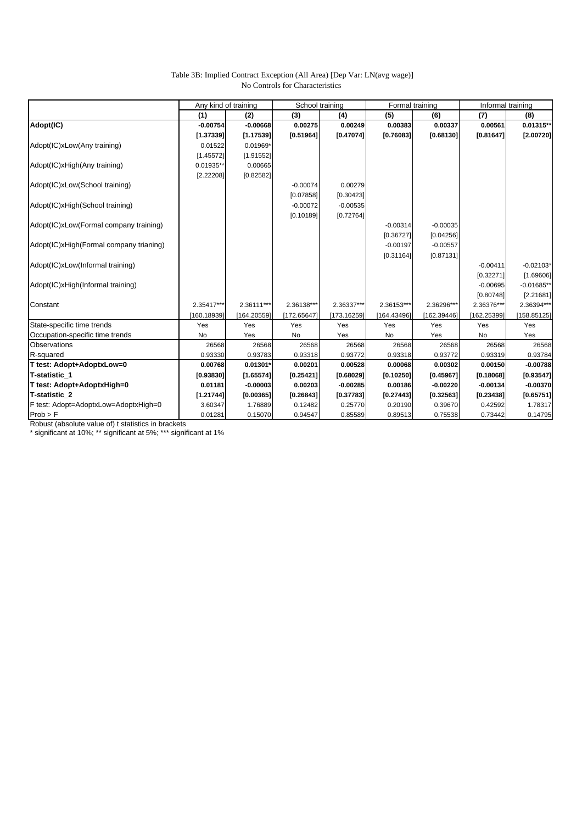### Table 3B: Implied Contract Exception (All Area) [Dep Var: LN(avg wage)] No Controls for Characteristics

|                                         | Any kind of training |             | School training |             | Formal training |             | Informal training |              |
|-----------------------------------------|----------------------|-------------|-----------------|-------------|-----------------|-------------|-------------------|--------------|
|                                         | (1)                  | (2)         | (3)             | (4)         | (5)             | (6)         | (7)               | (8)          |
| Adopt(IC)                               | $-0.00754$           | $-0.00668$  | 0.00275         | 0.00249     | 0.00383         | 0.00337     | 0.00561           | 0.01315**    |
|                                         | [1.37339]            | [1.17539]   | [0.51964]       | [0.47074]   | [0.76083]       | [0.68130]   | [0.81647]         | [2.00720]    |
| Adopt(IC)xLow(Any training)             | 0.01522              | 0.01969*    |                 |             |                 |             |                   |              |
|                                         | [1.45572]            | [1.91552]   |                 |             |                 |             |                   |              |
| Adopt(IC)xHigh(Any training)            | 0.01935**            | 0.00665     |                 |             |                 |             |                   |              |
|                                         | [2.22208]            | [0.82582]   |                 |             |                 |             |                   |              |
| Adopt(IC)xLow(School training)          |                      |             | $-0.00074$      | 0.00279     |                 |             |                   |              |
|                                         |                      |             | [0.07858]       | [0.30423]   |                 |             |                   |              |
| Adopt(IC)xHigh(School training)         |                      |             | $-0.00072$      | $-0.00535$  |                 |             |                   |              |
|                                         |                      |             | [0.10189]       | [0.72764]   |                 |             |                   |              |
| Adopt(IC)xLow(Formal company training)  |                      |             |                 |             | $-0.00314$      | $-0.00035$  |                   |              |
|                                         |                      |             |                 |             | [0.36727]       | [0.04256]   |                   |              |
| Adopt(IC)xHigh(Formal company trianing) |                      |             |                 |             | $-0.00197$      | $-0.00557$  |                   |              |
|                                         |                      |             |                 |             | [0.31164]       | [0.87131]   |                   |              |
| Adopt(IC)xLow(Informal training)        |                      |             |                 |             |                 |             | $-0.00411$        | $-0.02103*$  |
|                                         |                      |             |                 |             |                 |             | [0.32271]         | [1.69606]    |
| Adopt(IC)xHigh(Informal training)       |                      |             |                 |             |                 |             | $-0.00695$        | $-0.01685$ * |
|                                         |                      |             |                 |             |                 |             | [0.80748]         | [2.21681]    |
| Constant                                | 2.35417***           | 2.36111***  | 2.36138***      | 2.36337***  | 2.36153***      | 2.36296***  | 2.36376***        | 2.36394***   |
|                                         | [160.18939]          | [164.20559] | [172.65647]     | [173.16259] | [164.43496]     | [162.39446] | [162.25399]       | [158.85125]  |
| State-specific time trends              | Yes                  | Yes         | Yes             | Yes         | Yes             | Yes         | Yes               | Yes          |
| Occupation-specific time trends         | No                   | Yes         | No              | Yes         | No              | Yes         | No                | Yes          |
| <b>Observations</b>                     | 26568                | 26568       | 26568           | 26568       | 26568           | 26568       | 26568             | 26568        |
| R-squared                               | 0.93330              | 0.93783     | 0.93318         | 0.93772     | 0.93318         | 0.93772     | 0.93319           | 0.93784      |
| T test: Adopt+AdoptxLow=0               | 0.00768              | 0.01301*    | 0.00201         | 0.00528     | 0.00068         | 0.00302     | 0.00150           | $-0.00788$   |
| T-statistic 1                           | [0.93830]            | [1.65574]   | [0.25421]       | [0.68029]   | [0.10250]       | [0.45967]   | [0.18068]         | [0.93547]    |
| T test: Adopt+AdoptxHigh=0              | 0.01181              | $-0.00003$  | 0.00203         | $-0.00285$  | 0.00186         | $-0.00220$  | $-0.00134$        | $-0.00370$   |
| T-statistic 2                           | [1.21744]            | [0.00365]   | [0.26843]       | [0.37783]   | [0.27443]       | [0.32563]   | [0.23438]         | [0.65751]    |
| F test: Adopt=AdoptxLow=AdoptxHigh=0    | 3.60347              | 1.76889     | 0.12482         | 0.25770     | 0.20190         | 0.39670     | 0.42592           | 1.78317      |
| Prob > F                                | 0.01281              | 0.15070     | 0.94547         | 0.85589     | 0.89513         | 0.75538     | 0.73442           | 0.14795      |

Robust (absolute value of) t statistics in brackets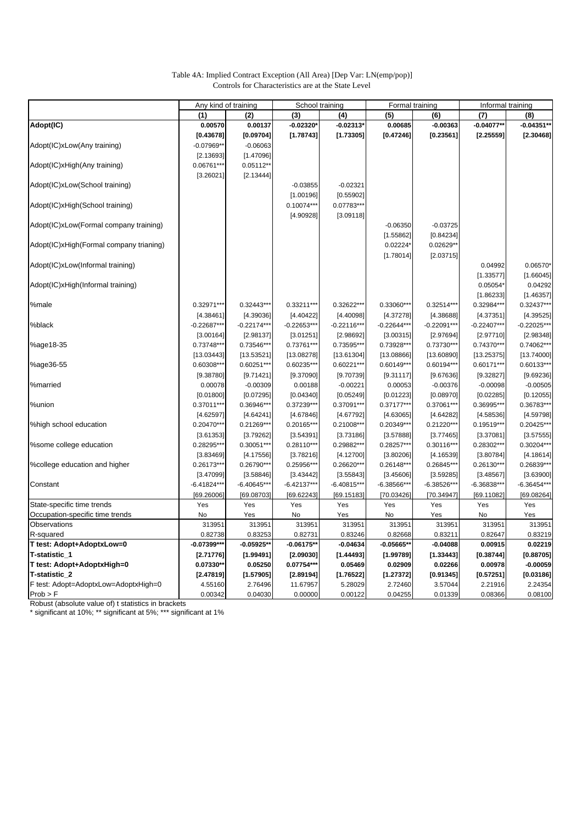| Table 4A: Implied Contract Exception (All Area) [Dep Var: LN(emp/pop)] |  |
|------------------------------------------------------------------------|--|
| Controls for Characteristics are at the State Level                    |  |

|                                         | Any kind of training |               | School training |               | Formal training |               | Informal training |               |
|-----------------------------------------|----------------------|---------------|-----------------|---------------|-----------------|---------------|-------------------|---------------|
|                                         | (1)                  | (2)           | (3)             | (4)           | (5)             | (6)           | (7)               | (8)           |
| Adopt(IC)                               | 0.00570              | 0.00137       | $-0.02320$      | $-0.02313'$   | 0.00685         | $-0.00363$    | $-0.04077**$      | $-0.04351**$  |
|                                         | [0.43678]            | [0.09704]     | [1.78743]       | [1.73305]     | [0.47246]       | [0.23561]     | [2.25559]         | [2.30468]     |
| Adopt(IC)xLow(Any training)             | $-0.07969**$         | $-0.06063$    |                 |               |                 |               |                   |               |
|                                         | [2.13693]            | [1.47096]     |                 |               |                 |               |                   |               |
| Adopt(IC)xHigh(Any training)            | 0.06761***           | 0.05112**     |                 |               |                 |               |                   |               |
|                                         | [3.26021]            | [2.13444]     |                 |               |                 |               |                   |               |
| Adopt(IC)xLow(School training)          |                      |               | $-0.03855$      | $-0.02321$    |                 |               |                   |               |
|                                         |                      |               | [1.00196]       | [0.55902]     |                 |               |                   |               |
| Adopt(IC)xHigh(School training)         |                      |               | 0.10074***      | 0.07783***    |                 |               |                   |               |
|                                         |                      |               |                 |               |                 |               |                   |               |
|                                         |                      |               | [4.90928]       | [3.09118]     |                 |               |                   |               |
| Adopt(IC)xLow(Formal company training)  |                      |               |                 |               | $-0.06350$      | $-0.03725$    |                   |               |
|                                         |                      |               |                 |               | [1.55862]       | [0.84234]     |                   |               |
| Adopt(IC)xHigh(Formal company trianing) |                      |               |                 |               | 0.02224         | $0.02629**$   |                   |               |
|                                         |                      |               |                 |               | [1.78014]       | [2.03715]     |                   |               |
| Adopt(IC)xLow(Informal training)        |                      |               |                 |               |                 |               | 0.04992           | 0.06570*      |
|                                         |                      |               |                 |               |                 |               | [1.33577]         | [1.66045]     |
| Adopt(IC)xHigh(Informal training)       |                      |               |                 |               |                 |               | 0.05054*          | 0.04292       |
|                                         |                      |               |                 |               |                 |               | [1.86233]         | [1.46357]     |
| %male                                   | 0.32971***           | $0.32443***$  | 0.33211**       | 0.32622***    | 0.33060***      | $0.32514***$  | 0.32984***        | 0.32437***    |
|                                         | [4.38461]            | [4.39036]     | [4.40422]       | [4.40098]     | [4.37278]       | [4.38688]     | [4.37351]         | [4.39525]     |
| %black                                  | $-0.22687**$         | $-0.22174***$ | $-0.22653***$   | $-0.22116***$ | $-0.22644***$   | $-0.22091***$ | $-0.22407***$     | $-0.22025**$  |
|                                         | [3.00164]            | [2.98137]     | [3.01251]       | [2.98692]     | [3.00315]       | [2.97694]     | [2.97710]         | [2.98348]     |
| %age18-35                               | 0.73748***           | 0.73546***    | 0.73761***      | 0.73595***    | 0.73928***      | 0.73730***    | 0.74370***        | 0.74062***    |
|                                         | [13.03443]           | [13.53521]    | [13.08278]      | [13.61304]    | [13.08866]      | [13.60890]    | [13.25375]        | [13.74000]    |
| %age36-55                               | 0.60308**            | $0.60251***$  | 0.60235**       | $0.60221***$  | 0.60149***      | 0.60194***    | 0.60171***        | 0.60133***    |
|                                         | [9.38780]            | [9.71421]     | [9.37090]       | [9.70739]     | [9.31117]       | [9.67636]     | [9.32827]         | [9.69236]     |
| %married                                | 0.00078              | $-0.00309$    | 0.00188         | $-0.00221$    | 0.00053         | $-0.00376$    | $-0.00098$        | $-0.00505$    |
|                                         | [0.01800]            | [0.07295]     | [0.04340]       | [0.05249]     | [0.01223]       | [0.08970]     | [0.02285]         | [0.12055]     |
| %union                                  | 0.37011***           | 0.36946***    | 0.37239***      | 0.37091***    | 0.37177***      | 0.37061***    | 0.36995***        | 0.36783***    |
|                                         | [4.62597]            | [4.64241]     | [4.67846]       | [4.67792]     | [4.63065]       | [4.64282]     | [4.58536]         | [4.59798]     |
| %high school education                  | $0.20470***$         | 0.21269***    | 0.20165***      | $0.21008***$  | 0.20349***      | 0.21220***    | 0.19519 ***       | 0.20425***    |
|                                         | [3.61353]            | [3.79262]     | [3.54391]       | [3.73186]     | [3.57888]       | [3.77465]     | [3.37081]         | [3.57555]     |
| %some college education                 | 0.28295***           | 0.30051***    | 0.28110***      | 0.29882***    | 0.28257***      | $0.30116***$  | 0.28302***        | 0.30204***    |
|                                         | [3.83469]            | [4.17556]     | [3.78216]       | [4.12700]     | [3.80206]       | [4.16539]     | [3.80784]         | [4.18614]     |
| %college education and higher           | 0.26173***           | 0.26790***    | 0.25956***      | 0.26620***    | 0.26148***      | 0.26845***    | 0.26130***        | 0.26839***    |
|                                         | [3.47099]            | [3.58846]     | [3.43442]       | [3.55843]     | [3.45606]       | [3.59285]     | [3.48567]         | [3.63900]     |
| Constant                                | $-6.41824***$        | $-6.40645***$ | $-6.42137***$   | $-6.40815***$ | $-6.38566***$   | $-6.38526***$ | $-6.36838***$     | $-6.36454***$ |
|                                         | [69.26006]           | [69.08703]    | [69.62243]      | [69.15183]    | [70.03426]      | [70.34947]    | [69.11082]        | [69.08264]    |
| State-specific time trends              | Yes                  | Yes           | Yes             | Yes           | Yes             | Yes           | Yes               | Yes           |
| Occupation-specific time trends         | No                   | Yes           | No              | Yes           | No              | Yes           | No                | Yes           |
| Observations                            | 313951               | 313951        | 313951          | 313951        | 313951          | 313951        | 313951            | 313951        |
| R-squared                               | 0.82738              | 0.83253       | 0.82731         | 0.83246       | 0.82668         | 0.83211       | 0.82647           | 0.83219       |
| T test: Adopt+AdoptxLow=0               | $-0.07399***$        | $-0.05925**$  | $-0.06175**$    | $-0.04634$    | $-0.05665**$    | $-0.04088$    | 0.00915           | 0.02219       |
|                                         |                      |               |                 |               |                 |               |                   |               |
| T-statistic_1                           | $[2.71776]$          | [1.99491]     | [2.09030]       | [1.44493]     | [1.99789]       | [1.33443]     | [0.38744]         | [0.88705]     |
| T test: Adopt+AdoptxHigh=0              | 0.07330**            | 0.05250       | 0.07754***      | 0.05469       | 0.02909         | 0.02266       | 0.00978           | $-0.00059$    |
| T-statistic_2                           | [2.47819]            | [1.57905]     | [2.89194]       | [1.76522]     | [1.27372]       | [0.91345]     | [0.57251]         | [0.03186]     |
| F test: Adopt=AdoptxLow=AdoptxHigh=0    | 4.55160              | 2.76496       | 11.67957        | 5.28029       | 2.72460         | 3.57044       | 2.21916           | 2.24354       |
| Prob > F                                | 0.00342              | 0.04030       | 0.00000         | 0.00122       | 0.04255         | 0.01339       | 0.08366           | 0.08100       |

Robust (absolute value of) t statistics in brackets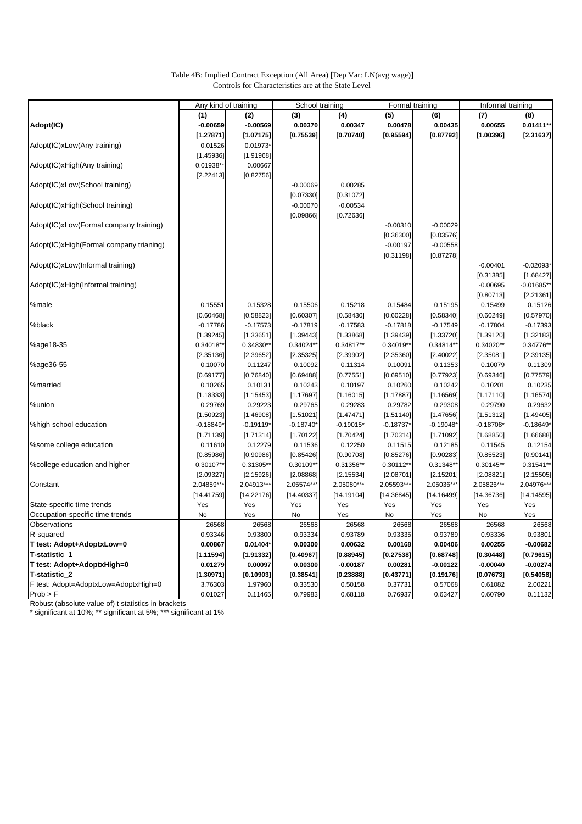### Table 4B: Implied Contract Exception (All Area) [Dep Var: LN(avg wage)] Controls for Characteristics are at the State Level

|                                         | Any kind of training |             | School training |            | Formal training |             | Informal training |              |
|-----------------------------------------|----------------------|-------------|-----------------|------------|-----------------|-------------|-------------------|--------------|
|                                         | (1)                  | (2)         | (3)             | (4)        | (5)             | (6)         | (7)               | (8)          |
| Adopt(IC)                               | $-0.00659$           | $-0.00569$  | 0.00370         | 0.00347    | 0.00478         | 0.00435     | 0.00655           | $0.01411**$  |
|                                         | [1.27871]            | [1.07175]   | [0.75539]       | [0.70740]  | [0.95594]       | [0.87792]   | [1.00396]         | [2.31637]    |
| Adopt(IC)xLow(Any training)             | 0.01526              | $0.01973*$  |                 |            |                 |             |                   |              |
|                                         | [1.45936]            | [1.91968]   |                 |            |                 |             |                   |              |
| Adopt(IC)xHigh(Any training)            | $0.01938**$          | 0.00667     |                 |            |                 |             |                   |              |
|                                         | [2.22413]            | [0.82756]   |                 |            |                 |             |                   |              |
| Adopt(IC)xLow(School training)          |                      |             | $-0.00069$      | 0.00285    |                 |             |                   |              |
|                                         |                      |             | [0.07330]       | [0.31072]  |                 |             |                   |              |
| Adopt(IC)xHigh(School training)         |                      |             | $-0.00070$      | $-0.00534$ |                 |             |                   |              |
|                                         |                      |             | [0.09866]       | [0.72636]  |                 |             |                   |              |
| Adopt(IC)xLow(Formal company training)  |                      |             |                 |            | $-0.00310$      | $-0.00029$  |                   |              |
|                                         |                      |             |                 |            |                 |             |                   |              |
|                                         |                      |             |                 |            | [0.36300]       | [0.03576]   |                   |              |
| Adopt(IC)xHigh(Formal company trianing) |                      |             |                 |            | $-0.00197$      | $-0.00558$  |                   |              |
|                                         |                      |             |                 |            | [0.31198]       | [0.87278]   |                   |              |
| Adopt(IC)xLow(Informal training)        |                      |             |                 |            |                 |             | $-0.00401$        | $-0.02093*$  |
|                                         |                      |             |                 |            |                 |             | [0.31385]         | [1.68427]    |
| Adopt(IC)xHigh(Informal training)       |                      |             |                 |            |                 |             | $-0.00695$        | $-0.01685**$ |
|                                         |                      |             |                 |            |                 |             | [0.80713]         | [2.21361]    |
| %male                                   | 0.15551              | 0.15328     | 0.15506         | 0.15218    | 0.15484         | 0.15195     | 0.15499           | 0.15126      |
|                                         | [0.60468]            | [0.58823]   | [0.60307]       | [0.58430]  | [0.60228]       | [0.58340]   | [0.60249]         | [0.57970]    |
| %black                                  | $-0.17786$           | $-0.17573$  | $-0.17819$      | $-0.17583$ | $-0.17818$      | $-0.17549$  | $-0.17804$        | $-0.17393$   |
|                                         | [1.39245]            | [1.33651]   | [1.39443]       | [1.33868]  | [1.39439]       | [1.33720]   | [1.39120]         | [1.32183]    |
| %age18-35                               | 0.34018**            | 0.34830*    | 0.34024**       | 0.34817**  | 0.34019*        | $0.34814**$ | 0.34020**         | 0.34776**    |
|                                         | [2.35136]            | [2.39652]   | [2.35325]       | [2.39902]  | [2.35360]       | [2.40022]   | [2.35081]         | [2.39135]    |
| %age36-55                               | 0.10070              | 0.11247     | 0.10092         | 0.11314    | 0.10091         | 0.11353     | 0.10079           | 0.11309      |
|                                         | [0.69177]            | [0.76840]   | [0.69488]       | [0.77551]  | [0.69510]       | [0.77923]   | [0.69346]         | [0.77579]    |
| %married                                | 0.10265              | 0.10131     | 0.10243         | 0.10197    | 0.10260         | 0.10242     | 0.10201           | 0.10235      |
|                                         | [1.18333]            | [1.15453]   | [1.17697]       | [1.16015]  | [1.17887]       | [1.16569]   | [1.17110]         | [1.16574]    |
| %union                                  | 0.29769              | 0.29223     | 0.29765         | 0.29283    | 0.29782         | 0.29308     | 0.29790           | 0.29632      |
|                                         | [1.50923]            | [1.46908]   | [1.51021]       | [1.47471]  | [1.51140]       | [1.47656]   | [1.51312]         | [1.49405]    |
| %high school education                  | $-0.18849$           | $-0.19119*$ | $-0.18740*$     | $-0.19015$ | $-0.18737'$     | $-0.19048"$ | $-0.18708$        | $-0.18649*$  |
|                                         | [1.71139]            | [1.71314]   | [1.70122]       | [1.70424]  | [1.70314]       | [1.71092]   | [1.68850]         | [1.66688]    |
| %some college education                 | 0.11610              | 0.12279     | 0.11536         | 0.12250    | 0.11515         | 0.12185     | 0.11545           | 0.12154      |
|                                         | [0.85986]            | [0.90986]   | [0.85426]       | [0.90708]  | [0.85276]       | [0.90283]   | [0.85523]         | [0.90141]    |
| %college education and higher           | 0.30107**            | 0.31305*    | 0.30109**       | 0.31356**  | 0.30112**       | 0.31348*    | 0.30145**         | 0.31541**    |
|                                         | [2.09327]            | [2.15926]   | [2.08868]       | [2.15534]  | [2.08701]       | [2.15201]   | [2.08821]         | [2.15505]    |
| Constant                                | 2.04859***           | 2.04913***  | 2.05574***      | 2.05080*** | 2.05593***      | 2.05036***  | 2.05826***        | 2.04976***   |
|                                         | [14.41759]           | [14.22176]  | [14.40337]      | [14.19104] | [14.36845]      | [14.16499]  | [14.36736]        | [14.14595]   |
| State-specific time trends              | Yes                  | Yes         | Yes             | Yes        | Yes             | Yes         | Yes               | Yes          |
| Occupation-specific time trends         | No                   | Yes         | No              | Yes        | No              | Yes         | No                | Yes          |
| Observations                            | 26568                | 26568       | 26568           | 26568      | 26568           | 26568       | 26568             | 26568        |
| R-squared                               | 0.93346              | 0.93800     | 0.93334         | 0.93789    | 0.93335         | 0.93789     | 0.93336           | 0.93801      |
| T test: Adopt+AdoptxLow=0               | 0.00867              | 0.01404*    | 0.00300         | 0.00632    | 0.00168         | 0.00406     | 0.00255           | $-0.00682$   |
| T-statistic_1                           | [1.11594]            | [1.91332]   | [0.40967]       |            | [0.27538]       |             |                   | [0.79615]    |
| T test: Adopt+AdoptxHigh=0              |                      |             |                 | [0.88945]  |                 | [0.68748]   | [0.30448]         | $-0.00274$   |
|                                         | 0.01279              | 0.00097     | 0.00300         | $-0.00187$ | 0.00281         | $-0.00122$  | $-0.00040$        |              |
| T-statistic_2                           | [1.30971]            | [0.10903]   | [0.38541]       | [0.23888]  | [0.43771]       | [0.19176]   | [0.07673]         | [0.54058]    |
| F test: Adopt=AdoptxLow=AdoptxHigh=0    | 3.76303              | 1.97960     | 0.33530         | 0.50158    | 0.37731         | 0.57068     | 0.61082           | 2.00221      |
| Prob > F                                | 0.01027              | 0.11465     | 0.79983         | 0.68118    | 0.76937         | 0.63427     | 0.60790           | 0.11132      |

Robust (absolute value of) t statistics in brackets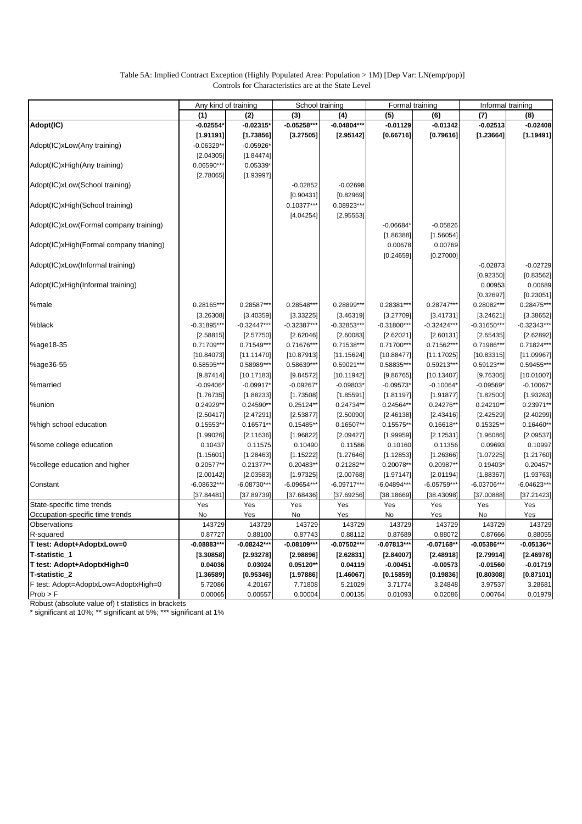### Table 5A: Implied Contract Exception (Highly Populated Area: Population > 1M) [Dep Var: LN(emp/pop)] Controls for Characteristics are at the State Level

|                                         | Any kind of training |               | School training |               | Formal training |               |               | Informal training |
|-----------------------------------------|----------------------|---------------|-----------------|---------------|-----------------|---------------|---------------|-------------------|
|                                         | (1)                  | (2)           | (3)             | (4)           | (5)             | (6)           | (7)           | (8)               |
| Adopt(IC)                               | $-0.02554'$          | $-0.02315*$   | $-0.05258***$   | $-0.04804***$ | $-0.01129$      | $-0.01342$    | $-0.02513$    | $-0.02408$        |
|                                         | [1.91191]            | [1.73856]     | [3.27505]       | [2.95142]     | [0.66716]       | [0.79616]     | [1.23664]     | [1.19491]         |
| Adopt(IC)xLow(Any training)             | $-0.06329**$         | $-0.05926*$   |                 |               |                 |               |               |                   |
|                                         | [2.04305]            | [1.84474]     |                 |               |                 |               |               |                   |
| Adopt(IC)xHigh(Any training)            | 0.06590***           | 0.05339*      |                 |               |                 |               |               |                   |
|                                         | [2.78065]            | [1.93997]     |                 |               |                 |               |               |                   |
| Adopt(IC)xLow(School training)          |                      |               | $-0.02852$      | $-0.02698$    |                 |               |               |                   |
|                                         |                      |               | [0.90431]       | [0.82969]     |                 |               |               |                   |
| Adopt(IC)xHigh(School training)         |                      |               | 0.10377***      | 0.08923***    |                 |               |               |                   |
|                                         |                      |               | [4.04254]       | [2.95553]     |                 |               |               |                   |
| Adopt(IC)xLow(Formal company training)  |                      |               |                 |               | $-0.06684$      | $-0.05826$    |               |                   |
|                                         |                      |               |                 |               | [1.86388]       | [1.56054]     |               |                   |
| Adopt(IC)xHigh(Formal company trianing) |                      |               |                 |               | 0.00678         | 0.00769       |               |                   |
|                                         |                      |               |                 |               | [0.24659]       | [0.27000]     |               |                   |
| Adopt(IC)xLow(Informal training)        |                      |               |                 |               |                 |               | $-0.02873$    | $-0.02729$        |
|                                         |                      |               |                 |               |                 |               | [0.92350]     | [0.83562]         |
| Adopt(IC)xHigh(Informal training)       |                      |               |                 |               |                 |               | 0.00953       | 0.00689           |
|                                         |                      |               |                 |               |                 |               | [0.32697]     | [0.23051]         |
| %male                                   | 0.28165***           | 0.28587***    | 0.28548***      |               | 0.28381***      | 0.28747***    | 0.28082***    | $0.28475***$      |
|                                         |                      |               |                 | 0.28899 ***   |                 |               |               |                   |
|                                         | [3.26308]            | [3.40359]     | [3.33225]       | [3.46319]     | [3.27709]       | [3.41731]     | [3.24621]     | [3.38652]         |
| %black                                  | $-0.31895***$        | $-0.32447***$ | $-0.32387***$   | $-0.32853***$ | $-0.31800***$   | $-0.32424***$ | $-0.31650***$ | $-0.32343***$     |
|                                         | [2.58815]            | [2.57750]     | [2.62046]       | [2.60083]     | [2.62021]       | [2.60131]     | [2.65435]     | [2.62892]         |
| %age18-35                               | 0.71709***           | 0.71549***    | 0.71676***      | 0.71538***    | 0.71700***      | 0.71562***    | 0.71986***    | 0.71824***        |
|                                         | [10.84073]           | [11.11470]    | [10.87913]      | [11.15624]    | [10.88477]      | [11.17025]    | [10.83315]    | [11.09967]        |
| %age36-55                               | 0.58595***           | 0.58989***    | 0.58639***      | 0.59021***    | 0.58835***      | 0.59213***    | 0.59123***    | $0.59455***$      |
|                                         | [9.87414]            | [10.17183]    | [9.84572]       | [10.11942]    | [9.86765]       | [10.13407]    | [9.76306]     | [10.01007]        |
| %married                                | $-0.09406*$          | $-0.09917*$   | $-0.09267*$     | $-0.09803*$   | $-0.09573*$     | $-0.10064*$   | $-0.09569*$   | $-0.10067*$       |
|                                         | [1.76735]            | [1.88233]     | [1.73508]       | [1.85591]     | [1.81197]       | [1.91877]     | [1.82500]     | [1.93263]         |
| %union                                  | 0.24929**            | 0.24590**     | 0.25124**       | 0.24734**     | 0.24564**       | 0.24276**     | $0.24210**$   | 0.23971**         |
|                                         | [2.50417]            | [2.47291]     | [2.53877]       | [2.50090]     | [2.46138]       | [2.43416]     | [2.42529]     | [2.40299]         |
| %high school education                  | 0.15553**            | $0.16571**$   | $0.15485**$     | $0.16507**$   | 0.15575**       | $0.16618**$   | 0.15325**     | $0.16460**$       |
|                                         | [1.99026]            | [2.11636]     | [1.96822]       | [2.09427]     | [1.99959]       | [2.12531]     | [1.96086]     | [2.09537]         |
| %some college education                 | 0.10437              | 0.11575       | 0.10490         | 0.11586       | 0.10160         | 0.11356       | 0.09693       | 0.10997           |
|                                         | [1.15601]            | [1.28463]     | [1.15222]       | [1.27646]     | [1.12853]       | [1.26366]     | [1.07225]     | [1.21760]         |
| %college education and higher           | 0.20577**            | 0.21377**     | 0.20483**       | 0.21282**     | 0.20078**       | 0.20987**     | $0.19403*$    | $0.20457*$        |
|                                         | [2.00142]            | [2.03583]     | [1.97325]       | [2.00768]     | [1.97147]       | [2.01194]     | [1.88367]     | [1.93763]         |
| Constant                                | $-6.08632***$        | $-6.08730***$ | $-6.09654***$   | $-6.09717***$ | $-6.04894***$   | $-6.05759***$ | $-6.03706***$ | $-6.04623***$     |
|                                         | [37.84481]           | [37.89739]    | [37.68436]      | [37.69256]    | [38.18669]      | [38.43098]    | [37.00888]    | [37.21423]        |
| State-specific time trends              | Yes                  | Yes           | Yes             | Yes           | Yes             | Yes           | Yes           | Yes               |
| Occupation-specific time trends         | No                   | Yes           | No              | Yes           | No              | Yes           | No            | Yes               |
| Observations                            | 143729               | 143729        | 143729          | 143729        | 143729          | 143729        | 143729        | 143729            |
| R-squared                               | 0.87727              | 0.88100       | 0.87743         | 0.88112       | 0.87689         | 0.88072       | 0.87666       | 0.88055           |
| T test: Adopt+AdoptxLow=0               | $-0.08883***$        | $-0.08242***$ | $-0.08109***$   | $-0.07502***$ | $-0.07813***$   | $-0.07168*$   | $-0.05386***$ | $-0.05136**$      |
| T-statistic_1                           | [3.30858]            | [2.93278]     | [2.98896]       | [2.62831]     | [2.84007]       | [2.48918]     | [2.79914]     | [2.46978]         |
| T test: Adopt+AdoptxHigh=0              | 0.04036              | 0.03024       | $0.05120**$     | 0.04119       | $-0.00451$      | $-0.00573$    | $-0.01560$    | $-0.01719$        |
| T-statistic_2                           | [1.36589]            | [0.95346]     | [1.97886]       | [1.46067]     | [0.15859]       | [0.19836]     | [0.80308]     | [0.87101]         |
| F test: Adopt=AdoptxLow=AdoptxHigh=0    | 5.72086              | 4.20167       | 7.71808         | 5.21029       | 3.71774         | 3.24848       | 3.97537       | 3.28681           |
| Prob > F                                | 0.00065              | 0.00557       | 0.00004         | 0.00135       | 0.01093         | 0.02086       | 0.00764       | 0.01979           |

Robust (absolute value of) t statistics in brackets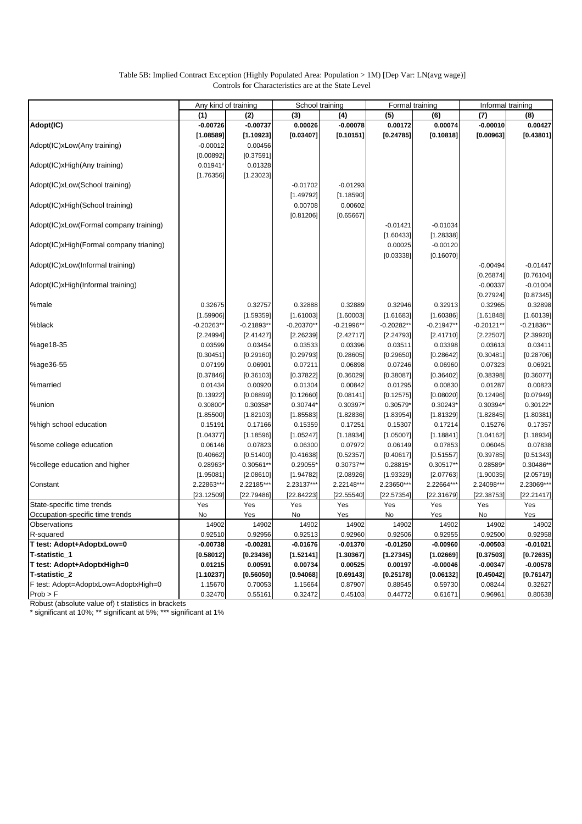### Table 5B: Implied Contract Exception (Highly Populated Area: Population > 1M) [Dep Var: LN(avg wage)] Controls for Characteristics are at the State Level

|                                         | Any kind of training |             | School training |              | Formal training |              | Informal training |              |
|-----------------------------------------|----------------------|-------------|-----------------|--------------|-----------------|--------------|-------------------|--------------|
|                                         | (1)                  | (2)         | (3)             | (4)          | (5)             | (6)          | (7)               | (8)          |
| Adopt(IC)                               | $-0.00726$           | $-0.00737$  | 0.00026         | $-0.00078$   | 0.00172         | 0.00074      | $-0.00010$        | 0.00427      |
|                                         | [1.08589]            | [1.10923]   | [0.03407]       | [0.10151]    | [0.24785]       | [0.10818]    | [0.00963]         | [0.43801]    |
| Adopt(IC)xLow(Any training)             | $-0.00012$           | 0.00456     |                 |              |                 |              |                   |              |
|                                         | [0.00892]            | [0.37591]   |                 |              |                 |              |                   |              |
| Adopt(IC)xHigh(Any training)            | 0.01941              | 0.01328     |                 |              |                 |              |                   |              |
|                                         | [1.76356]            | [1.23023]   |                 |              |                 |              |                   |              |
| Adopt(IC)xLow(School training)          |                      |             | $-0.01702$      | $-0.01293$   |                 |              |                   |              |
|                                         |                      |             | [1.49792]       | [1.18590]    |                 |              |                   |              |
| Adopt(IC)xHigh(School training)         |                      |             | 0.00708         | 0.00602      |                 |              |                   |              |
|                                         |                      |             | [0.81206]       | [0.65667]    |                 |              |                   |              |
| Adopt(IC)xLow(Formal company training)  |                      |             |                 |              | $-0.01421$      | $-0.01034$   |                   |              |
|                                         |                      |             |                 |              | [1.60433]       | [1.28338]    |                   |              |
| Adopt(IC)xHigh(Formal company trianing) |                      |             |                 |              | 0.00025         | $-0.00120$   |                   |              |
|                                         |                      |             |                 |              | [0.03338]       | [0.16070]    |                   |              |
| Adopt(IC)xLow(Informal training)        |                      |             |                 |              |                 |              |                   | $-0.01447$   |
|                                         |                      |             |                 |              |                 |              | $-0.00494$        |              |
|                                         |                      |             |                 |              |                 |              | [0.26874]         | [0.76104]    |
| Adopt(IC)xHigh(Informal training)       |                      |             |                 |              |                 |              | $-0.00337$        | $-0.01004$   |
|                                         |                      |             |                 |              |                 |              | [0.27924]         | [0.87345]    |
| %male                                   | 0.32675              | 0.32757     | 0.32888         | 0.32889      | 0.32946         | 0.32913      | 0.32965           | 0.32898      |
|                                         | [1.59906]            | [1.59359]   | [1.61003]       | [1.60003]    | [1.61683]       | [1.60386]    | [1.61848]         | [1.60139]    |
| %black                                  | $-0.20263$ *         | $-0.21893*$ | $-0.20370**$    | $-0.21996**$ | $-0.20282**$    | $-0.21947**$ | $-0.20121**$      | $-0.21836**$ |
|                                         | [2.24994]            | [2.41427]   | [2.26239]       | [2.42717]    | [2.24793]       | [2.41710]    | [2.22507]         | [2.39920]    |
| %age18-35                               | 0.03599              | 0.03454     | 0.03533         | 0.03396      | 0.03511         | 0.03398      | 0.03613           | 0.03411      |
|                                         | [0.30451]            | [0.29160]   | [0.29793]       | [0.28605]    | [0.29650]       | [0.28642]    | [0.30481]         | [0.28706]    |
| %age36-55                               | 0.07199              | 0.06901     | 0.07211         | 0.06898      | 0.07246         | 0.06960      | 0.07323           | 0.06921      |
|                                         | [0.37846]            | [0.36103]   | [0.37822]       | [0.36029]    | [0.38087]       | [0.36402]    | [0.38398]         | [0.36077]    |
| %married                                | 0.01434              | 0.00920     | 0.01304         | 0.00842      | 0.01295         | 0.00830      | 0.01287           | 0.00823      |
|                                         | [0.13922]            | [0.08899]   | [0.12660]       | [0.08141]    | [0.12575]       | [0.08020]    | [0.12496]         | [0.07949]    |
| %union                                  | 0.30800              | 0.30358*    | 0.30744*        | 0.30397*     | 0.30579         | 0.30243*     | 0.30394*          | 0.30122*     |
|                                         | [1.85500]            | [1.82103]   | [1.85583]       | [1.82836]    | [1.83954]       | [1.81329]    | [1.82845]         | [1.80381]    |
| %high school education                  | 0.15191              | 0.17166     | 0.15359         | 0.17251      | 0.15307         | 0.17214      | 0.15276           | 0.17357      |
|                                         | [1.04377]            | [1.18596]   | [1.05247]       | [1.18934]    | [1.05007]       | [1.18841]    | [1.04162]         | [1.18934]    |
| %some college education                 | 0.06146              | 0.07823     | 0.06300         | 0.07972      | 0.06149         | 0.07853      | 0.06045           | 0.07838      |
|                                         | [0.40662]            | [0.51400]   | [0.41638]       | [0.52357]    | [0.40617]       | [0.51557]    | [0.39785]         | [0.51343]    |
| %college education and higher           | 0.28963              | 0.30561*    | 0.29055*        | 0.30737**    | 0.28815*        | 0.30517**    | 0.28589*          | 0.30486**    |
|                                         | [1.95081]            | [2.08610]   | [1.94782]       | [2.08926]    | [1.93329]       | [2.07763]    | [1.90035]         | [2.05719]    |
| Constant                                | 2.22863***           | 2.22185***  | 2.23137***      | 2.22148***   | 2.23650***      | 2.22664***   | 2.24098***        | 2.23069***   |
|                                         | [23.12509]           | [22.79486]  | [22.84223]      | [22.55540]   | [22.57354]      | [22.31679]   | [22.38753]        | [22.21417]   |
| State-specific time trends              | Yes                  | Yes         | Yes             | Yes          | Yes             | Yes          | Yes               | Yes          |
| Occupation-specific time trends         | No                   | Yes         | No              | Yes          | No              | Yes          | No                | Yes          |
| Observations                            | 14902                | 14902       | 14902           | 14902        | 14902           | 14902        | 14902             | 14902        |
| R-squared                               | 0.92510              | 0.92956     | 0.92513         | 0.92960      | 0.92506         | 0.92955      | 0.92500           | 0.92958      |
| T test: Adopt+AdoptxLow=0               | $-0.00738$           | $-0.00281$  | $-0.01676$      | $-0.01370$   | $-0.01250$      | $-0.00960$   | $-0.00503$        | $-0.01021$   |
| T-statistic_1                           | [0.58012]            | [0.23436]   | [1.52141]       | [1.30367]    | [1.27345]       | [1.02669]    | [0.37503]         | [0.72635]    |
| T test: Adopt+AdoptxHigh=0              | 0.01215              | 0.00591     | 0.00734         | 0.00525      | 0.00197         | $-0.00046$   | $-0.00347$        | $-0.00578$   |
| T-statistic_2                           | [1.10237]            | [0.56050]   | [0.94068]       | [0.69143]    | [0.25178]       | [0.06132]    | [0.45042]         | [0.76147]    |
| F test: Adopt=AdoptxLow=AdoptxHigh=0    | 1.15670              | 0.70053     | 1.15664         | 0.87907      | 0.88545         | 0.59730      | 0.08244           | 0.32627      |
| Prob > F                                | 0.32470              | 0.55161     | 0.32472         | 0.45103      | 0.44772         | 0.61671      | 0.96961           | 0.80638      |

Robust (absolute value of) t statistics in brackets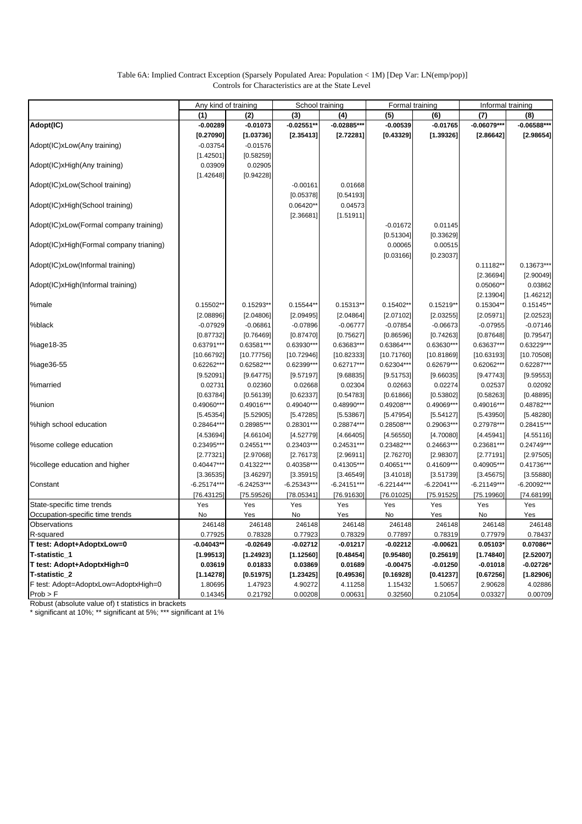### Table 6A: Implied Contract Exception (Sparsely Populated Area: Population < 1M) [Dep Var: LN(emp/pop)] Controls for Characteristics are at the State Level

|                                         | Any kind of training |               | School training |               | Formal training |                      |                      | Informal training |
|-----------------------------------------|----------------------|---------------|-----------------|---------------|-----------------|----------------------|----------------------|-------------------|
|                                         | (1)                  | (2)           | (3)             | (4)           | (5)             | (6)                  | (7)                  | (8)               |
| Adopt(IC)                               | $-0.00289$           | $-0.01073$    | $-0.02551*$     | $-0.02885***$ | $-0.00539$      | $-0.01765$           | $-0.06079***$        | $-0.06588***$     |
|                                         | [0.27090]            | [1.03736]     | [2.35413]       | [2.72281]     | [0.43329]       | [1.39326]            | [2.86642]            | [2.98654]         |
| Adopt(IC)xLow(Any training)             | $-0.03754$           | $-0.01576$    |                 |               |                 |                      |                      |                   |
|                                         | [1.42501]            | [0.58259]     |                 |               |                 |                      |                      |                   |
| Adopt(IC)xHigh(Any training)            | 0.03909              | 0.02905       |                 |               |                 |                      |                      |                   |
|                                         | [1.42648]            | [0.94228]     |                 |               |                 |                      |                      |                   |
| Adopt(IC)xLow(School training)          |                      |               | $-0.00161$      | 0.01668       |                 |                      |                      |                   |
|                                         |                      |               | [0.05378]       | [0.54193]     |                 |                      |                      |                   |
| Adopt(IC)xHigh(School training)         |                      |               | $0.06420**$     | 0.04573       |                 |                      |                      |                   |
|                                         |                      |               |                 |               |                 |                      |                      |                   |
|                                         |                      |               | [2.36681]       | [1.51911]     |                 |                      |                      |                   |
| Adopt(IC)xLow(Formal company training)  |                      |               |                 |               | $-0.01672$      | 0.01145              |                      |                   |
|                                         |                      |               |                 |               | [0.51304]       | [0.33629]            |                      |                   |
| Adopt(IC)xHigh(Formal company trianing) |                      |               |                 |               | 0.00065         | 0.00515              |                      |                   |
|                                         |                      |               |                 |               | [0.03166]       | [0.23037]            |                      |                   |
| Adopt(IC)xLow(Informal training)        |                      |               |                 |               |                 |                      | $0.11182**$          | 0.13673***        |
|                                         |                      |               |                 |               |                 |                      | [2.36694]            | [2.90049]         |
| Adopt(IC)xHigh(Informal training)       |                      |               |                 |               |                 |                      | $0.05060**$          | 0.03862           |
|                                         |                      |               |                 |               |                 |                      | [2.13904]            | [1.46212]         |
| %male                                   | $0.15502**$          | $0.15293*$    | $0.15544**$     | 0.15313**     | $0.15402*$      | 0.15219**            | 0.15304**            | $0.15145**$       |
|                                         | [2.08896]            | [2.04806]     | [2.09495]       | [2.04864]     | [2.07102]       | [2.03255]            | [2.05971]            | [2.02523]         |
| %black                                  | $-0.07929$           | $-0.06861$    | $-0.07896$      | $-0.06777$    | $-0.07854$      | $-0.06673$           | $-0.07955$           | $-0.07146$        |
|                                         | [0.87732]            | [0.76469]     | [0.87470]       | [0.75627]     | [0.86596]       | [0.74263]            | [0.87648]            | [0.79547]         |
| %age18-35                               | 0.63791**            | 0.63581***    | 0.63930**       | 0.63683***    | 0.63864**       | 0.63630***           | 0.63637***           | 0.63229***        |
|                                         | [10.66792]           | [10.77756]    | [10.72946]      | [10.82333]    | [10.71760]      | [10.81869]           | [10.63193]           | [10.70508]        |
| %age36-55                               | 0.62262**            | 0.62582**     | 0.62399**       | $0.62717***$  | $0.62304**$     | 0.62679**            | 0.62062**            | 0.62287***        |
|                                         | [9.52091]            | [9.64775]     | [9.57197]       | [9.68835]     | [9.51753]       | [9.66035]            | [9.47743]            | [9.59553]         |
| %married                                | 0.02731              | 0.02360       | 0.02668         | 0.02304       | 0.02663         | 0.02274              | 0.02537              | 0.02092           |
|                                         | [0.63784]            | [0.56139]     | [0.62337]       | [0.54783]     | [0.61866]       | [0.53802]            | [0.58263]            | [0.48895]         |
| %union                                  | 0.49060**            | 0.49016***    | 0.49040***      | 0.48990***    | 0.49208**       | 0.49069**            | 0.49016***           | 0.48782***        |
|                                         | [5.45354]            | [5.52905]     | [5.47285]       | [5.53867]     | [5.47954]       | [5.54127]            | [5.43950]            | [5.48280]         |
| %high school education                  | $0.28464***$         | 0.28985***    | 0.28301**       | 0.28874***    | 0.28508**       | 0.29063***           | 0.27978***           | 0.28415***        |
|                                         | [4.53694]            | [4.66104]     | [4.52779]       | [4.66405]     | [4.56550]       | [4.70080]            | [4.45941]            | [4.55116]         |
| %some college education                 | 0.23495**            | 0.24551***    | 0.23403***      | 0.24531***    | 0.23482***      | 0.24663***           | 0.23681***           | 0.24749***        |
|                                         | [2.77321]            | [2.97068]     | [2.76173]       | [2.96911]     | [2.76270]       | [2.98307]            | [2.77191]            | [2.97505]         |
| %college education and higher           | $0.40447***$         | 0.41322***    | 0.40358***      | 0.41305***    | 0.40651***      | 0.41609***           | 0.40905***           | 0.41736***        |
|                                         | [3.36535]            | [3.46297]     | [3.35915]       | [3.46549]     | [3.41018]       | [3.51739]            | [3.45675]            | [3.55880]         |
| Constant                                | $-6.25174***$        | $-6.24253***$ | $-6.25343***$   | $-6.24151***$ | $-6.22144***$   | $-6.22041***$        | $-6.21149***$        | $-6.20092***$     |
|                                         | [76.43125]           | [75.59526]    | [78.05341]      | [76.91630]    | [76.01025]      | [75.91525]           | [75.19960]           | [74.68199]        |
| State-specific time trends              | Yes                  | Yes           | Yes             | Yes           | Yes             | Yes                  | Yes                  | Yes               |
| Occupation-specific time trends         | No                   | Yes           | No              | Yes           | No              | Yes                  | No                   | Yes               |
| Observations                            | 246148               | 246148        | 246148          | 246148        | 246148          | 246148               | 246148               | 246148            |
| R-squared                               | 0.77925              | 0.78328       | 0.77923         | 0.78329       | 0.77897         | 0.78319              | 0.77979              | 0.78437           |
| T test: Adopt+AdoptxLow=0               | $-0.04043**$         | $-0.02649$    | $-0.02712$      | $-0.01217$    | $-0.02212$      | $-0.00621$           | 0.05103*             | 0.07086**         |
| T-statistic_1                           | [1.99513]            | [1.24923]     | [1.12560]       | [0.48454]     | [0.95480]       | [0.25619]            | [1.74840]            | [2.52007]         |
| T test: Adopt+AdoptxHigh=0              | 0.03619              | 0.01833       | 0.03869         | 0.01689       | $-0.00475$      | $-0.01250$           | $-0.01018$           | $-0.02726*$       |
| T-statistic 2                           | [1.14278]            | [0.51975]     | [1.23425]       | [0.49536]     | [0.16928]       |                      |                      | [1.82906]         |
| F test: Adopt=AdoptxLow=AdoptxHigh=0    | 1.80695              | 1.47923       | 4.90272         | 4.11258       | 1.15432         | [0.41237]<br>1.50657 | [0.67256]<br>2.90628 | 4.02886           |
| Prob > F                                | 0.14345              | 0.21792       | 0.00208         | 0.00631       | 0.32560         | 0.21054              | 0.03327              | 0.00709           |
|                                         |                      |               |                 |               |                 |                      |                      |                   |

Robust (absolute value of) t statistics in brackets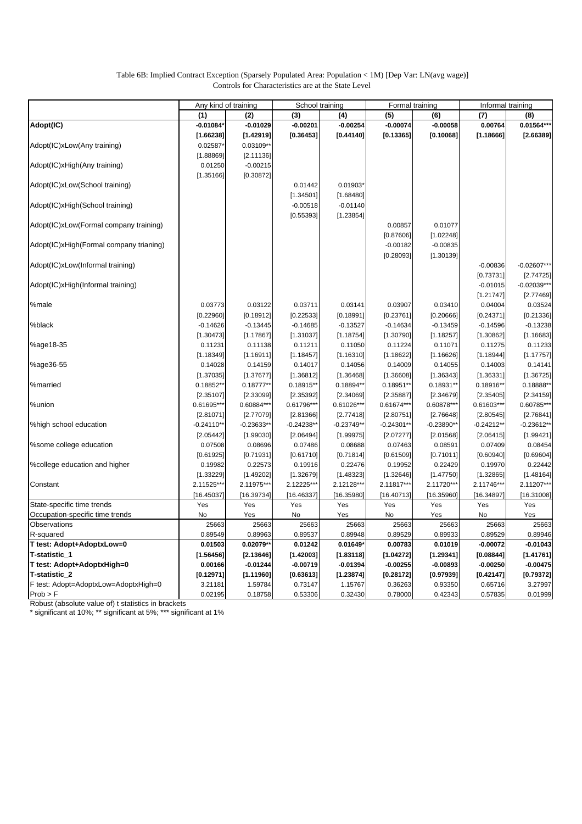### Table 6B: Implied Contract Exception (Sparsely Populated Area: Population < 1M) [Dep Var: LN(avg wage)] Controls for Characteristics are at the State Level

|                                         | Any kind of training |              | School training |              | Formal training |              |              | Informal training    |  |
|-----------------------------------------|----------------------|--------------|-----------------|--------------|-----------------|--------------|--------------|----------------------|--|
|                                         | (1)                  | (2)          | (3)             | (4)          | (5)             | (6)          | (7)          | (8)                  |  |
| Adopt(IC)                               | $-0.01084'$          | $-0.01029$   | $-0.00201$      | $-0.00254$   | $-0.00074$      | $-0.00058$   | 0.00764      | 0.01564***           |  |
|                                         | [1.66238]            | [1.42919]    | [0.36453]       | [0.44140]    | [0.13365]       | [0.10068]    | [1.18666]    | [2.66389]            |  |
| Adopt(IC)xLow(Any training)             | 0.02587*             | 0.03109**    |                 |              |                 |              |              |                      |  |
|                                         | [1.88869]            | [2.11136]    |                 |              |                 |              |              |                      |  |
| Adopt(IC)xHigh(Any training)            | 0.01250              | $-0.00215$   |                 |              |                 |              |              |                      |  |
|                                         | [1.35166]            | [0.30872]    |                 |              |                 |              |              |                      |  |
| Adopt(IC)xLow(School training)          |                      |              | 0.01442         | 0.01903*     |                 |              |              |                      |  |
|                                         |                      |              | [1.34501]       | [1.68480]    |                 |              |              |                      |  |
| Adopt(IC)xHigh(School training)         |                      |              | $-0.00518$      | $-0.01140$   |                 |              |              |                      |  |
|                                         |                      |              | [0.55393]       | [1.23854]    |                 |              |              |                      |  |
| Adopt(IC)xLow(Formal company training)  |                      |              |                 |              | 0.00857         | 0.01077      |              |                      |  |
|                                         |                      |              |                 |              | [0.87606]       | [1.02248]    |              |                      |  |
| Adopt(IC)xHigh(Formal company trianing) |                      |              |                 |              | $-0.00182$      | $-0.00835$   |              |                      |  |
|                                         |                      |              |                 |              | [0.28093]       | [1.30139]    |              |                      |  |
| Adopt(IC)xLow(Informal training)        |                      |              |                 |              |                 |              | $-0.00836$   | $-0.02607***$        |  |
|                                         |                      |              |                 |              |                 |              | [0.73731]    | [2.74725]            |  |
| Adopt(IC)xHigh(Informal training)       |                      |              |                 |              |                 |              | $-0.01015$   | $-0.02039**$         |  |
|                                         |                      |              |                 |              |                 |              |              |                      |  |
|                                         |                      |              |                 |              |                 |              | [1.21747]    | [2.77469]<br>0.03524 |  |
| %male                                   | 0.03773              | 0.03122      | 0.03711         | 0.03141      | 0.03907         | 0.03410      | 0.04004      |                      |  |
|                                         | [0.22960]            | [0.18912]    | [0.22533]       | [0.18991]    | [0.23761]       | [0.20666]    | [0.24371]    | [0.21336]            |  |
| %black                                  | $-0.14626$           | $-0.13445$   | $-0.14685$      | $-0.13527$   | $-0.14634$      | $-0.13459$   | $-0.14596$   | $-0.13238$           |  |
|                                         | [1.30473]            | [1.17867]    | [1.31037]       | [1.18754]    | [1.30790]       | [1.18257]    | [1.30862]    | [1.16683]            |  |
| %age18-35                               | 0.11231              | 0.11138      | 0.11211         | 0.11050      | 0.11224         | 0.11071      | 0.11275      | 0.11233              |  |
|                                         | [1.18349]            | [1.16911]    | [1.18457]       | [1.16310]    | [1.18622]       | [1.16626]    | [1.18944]    | [1.17757]            |  |
| %age36-55                               | 0.14028              | 0.14159      | 0.14017         | 0.14056      | 0.14009         | 0.14055      | 0.14003      | 0.14141              |  |
|                                         | [1.37035]            | [1.37677]    | [1.36812]       | [1.36468]    | [1.36608]       | [1.36343]    | [1.36331]    | [1.36725]            |  |
| %married                                | 0.18852**            | $0.18777**$  | 0.18915**       | 0.18894**    | 0.18951**       | $0.18931**$  | 0.18916**    | 0.18888*             |  |
|                                         | [2.35107]            | [2.33099]    | [2.35392]       | [2.34069]    | [2.35887]       | [2.34679]    | [2.35405]    | [2.34159]            |  |
| %union                                  | 0.61695***           | 0.60884***   | 0.61796***      | 0.61026***   | $0.61674***$    | 0.60878***   | 0.61603***   | 0.60785***           |  |
|                                         | [2.81071]            | [2.77079]    | [2.81366]       | [2.77418]    | [2.80751]       | [2.76648]    | [2.80545]    | [2.76841]            |  |
| %high school education                  | $-0.24110**$         | $-0.23633**$ | $-0.24238**$    | $-0.23749**$ | $-0.24301**$    | $-0.23890**$ | $-0.24212**$ | $-0.23612**$         |  |
|                                         | [2.05442]            | [1.99030]    | [2.06494]       | [1.99975]    | [2.07277]       | [2.01568]    | [2.06415]    | [1.99421]            |  |
| %some college education                 | 0.07508              | 0.08696      | 0.07486         | 0.08688      | 0.07463         | 0.08591      | 0.07409      | 0.08454              |  |
|                                         | [0.61925]            | [0.71931]    | [0.61710]       | [0.71814]    | [0.61509]       | [0.71011]    | [0.60940]    | [0.69604]            |  |
| %college education and higher           | 0.19982              | 0.22573      | 0.19916         | 0.22476      | 0.19952         | 0.22429      | 0.19970      | 0.22442              |  |
|                                         | [1.33229]            | [1.49202]    | [1.32679]       | [1.48323]    | [1.32646]       | [1.47750]    | [1.32865]    | [1.48164]            |  |
| Constant                                | 2.11525***           | 2.11975***   | 2.12225***      | 2.12128***   | 2.11817***      | 2.11720**    | 2.11746***   | 2.11207***           |  |
|                                         | [16.45037]           | [16.39734]   | [16.46337]      | [16.35980]   | [16.40713]      | [16.35960]   | [16.34897]   | [16.31008]           |  |
| State-specific time trends              | Yes                  | Yes          | Yes             | Yes          | Yes             | Yes          | Yes          | Yes                  |  |
| Occupation-specific time trends         | No                   | Yes          | No              | Yes          | No              | Yes          | No           | Yes                  |  |
| Observations                            | 25663                | 25663        | 25663           | 25663        | 25663           | 25663        | 25663        | 25663                |  |
| R-squared                               | 0.89549              | 0.89963      | 0.89537         | 0.89948      | 0.89529         | 0.89933      | 0.89529      | 0.89946              |  |
| T test: Adopt+AdoptxLow=0               | 0.01503              | 0.02079**    | 0.01242         | 0.01649*     | 0.00783         | 0.01019      | $-0.00072$   | $-0.01043$           |  |
| T-statistic_1                           | [1.56456]            | [2.13646]    | [1.42003]       | [1.83118]    | [1.04272]       | [1.29341]    | [0.08844]    | [1.41761]            |  |
| T test: Adopt+AdoptxHigh=0              | 0.00166              | $-0.01244$   | $-0.00719$      | $-0.01394$   | $-0.00255$      | $-0.00893$   | $-0.00250$   | $-0.00475$           |  |
| T-statistic_2                           | [0.12971]            | [1.11960]    | [0.63613]       | [1.23874]    | [0.28172]       | [0.97939]    | [0.42147]    | [0.79372]            |  |
| F test: Adopt=AdoptxLow=AdoptxHigh=0    | 3.21181              | 1.59784      | 0.73147         | 1.15767      | 0.36263         | 0.93350      | 0.65716      | 3.27997              |  |
| Prob > F                                | 0.02195              | 0.18758      | 0.53306         | 0.32430      | 0.78000         | 0.42343      | 0.57835      | 0.01999              |  |

Robust (absolute value of) t statistics in brackets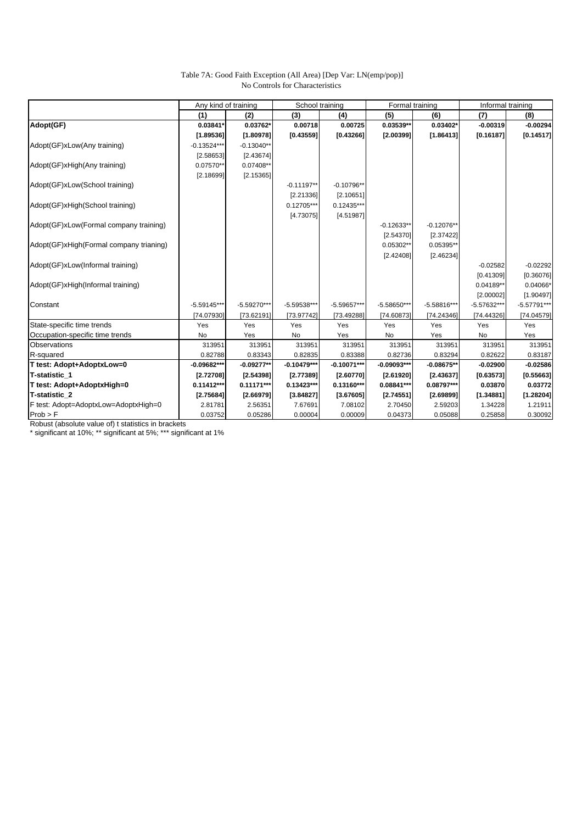### Table 7A: Good Faith Exception (All Area) [Dep Var: LN(emp/pop)] No Controls for Characteristics

|                                         | Any kind of training |               | School training |               | Formal training |               |               | Informal training |  |
|-----------------------------------------|----------------------|---------------|-----------------|---------------|-----------------|---------------|---------------|-------------------|--|
|                                         | (1)                  | (2)           | (3)             | (4)           | (5)             | (6)           | (7)           | (8)               |  |
| Adopt(GF)                               | 0.03841*             | 0.03762*      | 0.00718         | 0.00725       | 0.03539**       | 0.03402*      | $-0.00319$    | $-0.00294$        |  |
|                                         | [1.89536]            | [1.80978]     | [0.43559]       | [0.43266]     | [2.00399]       | [1.86413]     | [0.16187]     | [0.14517]         |  |
| Adopt(GF)xLow(Any training)             | $-0.13524***$        | $-0.13040**$  |                 |               |                 |               |               |                   |  |
|                                         | [2.58653]            | [2.43674]     |                 |               |                 |               |               |                   |  |
| Adopt(GF)xHigh(Any training)            | 0.07570**            | 0.07408**     |                 |               |                 |               |               |                   |  |
|                                         | [2.18699]            | [2.15365]     |                 |               |                 |               |               |                   |  |
| Adopt(GF)xLow(School training)          |                      |               | $-0.11197**$    | $-0.10796**$  |                 |               |               |                   |  |
|                                         |                      |               | [2.21336]       | [2.10651]     |                 |               |               |                   |  |
| Adopt(GF)xHigh(School training)         |                      |               | $0.12705***$    | $0.12435***$  |                 |               |               |                   |  |
|                                         |                      |               | [4.73075]       | [4.51987]     |                 |               |               |                   |  |
| Adopt(GF)xLow(Formal company training)  |                      |               |                 |               | $-0.12633**$    | $-0.12076**$  |               |                   |  |
|                                         |                      |               |                 |               | [2.54370]       | [2.37422]     |               |                   |  |
| Adopt(GF)xHigh(Formal company trianing) |                      |               |                 |               | 0.05302**       | 0.05395**     |               |                   |  |
|                                         |                      |               |                 |               | [2.42408]       | [2.46234]     |               |                   |  |
| Adopt(GF)xLow(Informal training)        |                      |               |                 |               |                 |               | $-0.02582$    | $-0.02292$        |  |
|                                         |                      |               |                 |               |                 |               | [0.41309]     | [0.36076]         |  |
| Adopt(GF)xHigh(Informal training)       |                      |               |                 |               |                 |               | 0.04189**     | 0.04066*          |  |
|                                         |                      |               |                 |               |                 |               | [2.00002]     | [1.90497]         |  |
| Constant                                | $-5.59145***$        | $-5.59270***$ | $-5.59538***$   | $-5.59657***$ | $-5.58650***$   | $-5.58816***$ | $-5.57632***$ | $-5.57791***$     |  |
|                                         | [74.07930]           | [73.62191]    | [73.97742]      | [73.49288]    | [74.60873]      | [74.24346]    | [74.44326]    | [74.04579]        |  |
| State-specific time trends              | Yes                  | Yes           | Yes             | Yes           | Yes             | Yes           | Yes           | Yes               |  |
| Occupation-specific time trends         | No                   | Yes           | No              | Yes           | No              | Yes           | No            | Yes               |  |
| <b>Observations</b>                     | 313951               | 313951        | 313951          | 313951        | 313951          | 313951        | 313951        | 313951            |  |
| R-squared                               | 0.82788              | 0.83343       | 0.82835         | 0.83388       | 0.82736         | 0.83294       | 0.82622       | 0.83187           |  |
| T test: Adopt+AdoptxLow=0               | $-0.09682***$        | $-0.09277**$  | $-0.10479***$   | $-0.10071***$ | $-0.09093***$   | $-0.08675**$  | $-0.02900$    | $-0.02586$        |  |
| T-statistic 1                           | [2.72708]            | [2.54398]     | [2.77389]       | [2.60770]     | [2.61920]       | [2.43637]     | [0.63573]     | [0.55663]         |  |
| T test: Adopt+AdoptxHigh=0              | $0.11412***$         | $0.11171***$  | $0.13423***$    | 0.13160***    | 0.08841***      | 0.08797***    | 0.03870       | 0.03772           |  |
| T-statistic 2                           | [2.75684]            | [2.66979]     | [3.84827]       | [3.67605]     | [2.74551]       | [2.69899]     | [1.34881]     | [1.28204]         |  |
| F test: Adopt=AdoptxLow=AdoptxHigh=0    | 2.81781              | 2.56351       | 7.67691         | 7.08102       | 2.70450         | 2.59203       | 1.34228       | 1.21911           |  |
| Prob > F                                | 0.03752              | 0.05286       | 0.00004         | 0.00009       | 0.04373         | 0.05088       | 0.25858       | 0.30092           |  |

Robust (absolute value of) t statistics in brackets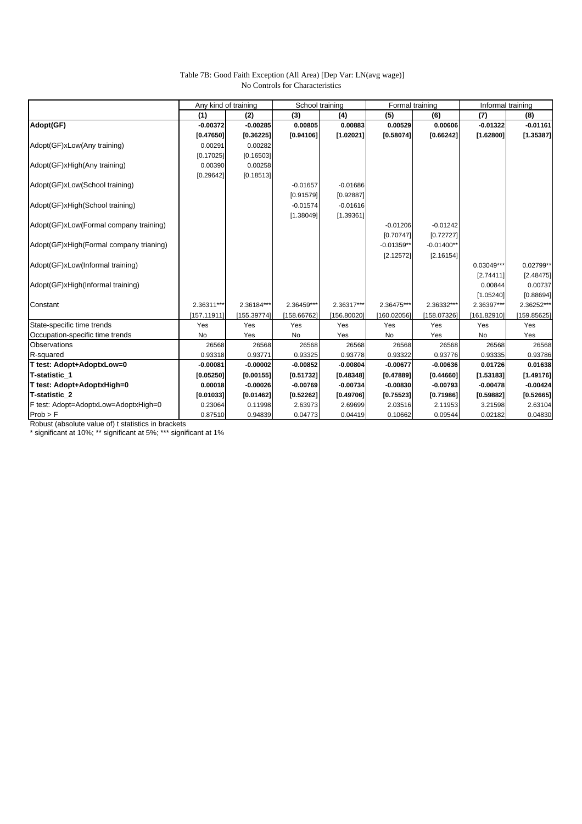### Table 7B: Good Faith Exception (All Area) [Dep Var: LN(avg wage)] No Controls for Characteristics

|                                         | Any kind of training |             | School training |             | Formal training |              |              | Informal training |
|-----------------------------------------|----------------------|-------------|-----------------|-------------|-----------------|--------------|--------------|-------------------|
|                                         | (1)                  | (2)         | (3)             | (4)         | (5)             | (6)          | (7)          | (8)               |
| Adopt(GF)                               | $-0.00372$           | $-0.00285$  | 0.00805         | 0.00883     | 0.00529         | 0.00606      | $-0.01322$   | $-0.01161$        |
|                                         | [0.47650]            | [0.36225]   | [0.94106]       | [1.02021]   | [0.58074]       | [0.66242]    | [1.62800]    | [1.35387]         |
| Adopt(GF)xLow(Any training)             | 0.00291              | 0.00282     |                 |             |                 |              |              |                   |
|                                         | [0.17025]            | [0.16503]   |                 |             |                 |              |              |                   |
| Adopt(GF)xHigh(Any training)            | 0.00390              | 0.00258     |                 |             |                 |              |              |                   |
|                                         | [0.29642]            | [0.18513]   |                 |             |                 |              |              |                   |
| Adopt(GF)xLow(School training)          |                      |             | $-0.01657$      | $-0.01686$  |                 |              |              |                   |
|                                         |                      |             | [0.91579]       | [0.92887]   |                 |              |              |                   |
| Adopt(GF)xHigh(School training)         |                      |             | $-0.01574$      | $-0.01616$  |                 |              |              |                   |
|                                         |                      |             | [1.38049]       | [1.39361]   |                 |              |              |                   |
| Adopt(GF)xLow(Formal company training)  |                      |             |                 |             | $-0.01206$      | $-0.01242$   |              |                   |
|                                         |                      |             |                 |             | [0.70747]       | [0.72727]    |              |                   |
| Adopt(GF)xHigh(Formal company trianing) |                      |             |                 |             | $-0.01359**$    | $-0.01400**$ |              |                   |
|                                         |                      |             |                 |             | [2.12572]       | [2.16154]    |              |                   |
| Adopt(GF)xLow(Informal training)        |                      |             |                 |             |                 |              | $0.03049***$ | 0.02799**         |
|                                         |                      |             |                 |             |                 |              | [2.74411]    | [2.48475]         |
| Adopt(GF)xHigh(Informal training)       |                      |             |                 |             |                 |              | 0.00844      | 0.00737           |
|                                         |                      |             |                 |             |                 |              | [1.05240]    | [0.88694]         |
| Constant                                | 2.36311***           | 2.36184***  | 2.36459***      | 2.36317***  | 2.36475***      | 2.36332***   | 2.36397***   | 2.36252***        |
|                                         | [157.11911]          | [155.39774] | [158.66762]     | [156.80020] | [160.02056]     | [158.07326]  | [161.82910]  | [159.85625]       |
| State-specific time trends              | Yes                  | Yes         | Yes             | Yes         | Yes             | Yes          | Yes          | Yes               |
| Occupation-specific time trends         | No                   | Yes         | No              | Yes         | No              | Yes          | No           | Yes               |
| <b>Observations</b>                     | 26568                | 26568       | 26568           | 26568       | 26568           | 26568        | 26568        | 26568             |
| R-squared                               | 0.93318              | 0.93771     | 0.93325         | 0.93778     | 0.93322         | 0.93776      | 0.93335      | 0.93786           |
| T test: Adopt+AdoptxLow=0               | $-0.00081$           | $-0.00002$  | $-0.00852$      | $-0.00804$  | $-0.00677$      | $-0.00636$   | 0.01726      | 0.01638           |
| T-statistic 1                           | [0.05250]            | [0.00155]   | [0.51732]       | [0.48348]   | [0.47889]       | [0.44660]    | [1.53183]    | [1.49176]         |
| T test: Adopt+AdoptxHigh=0              | 0.00018              | $-0.00026$  | $-0.00769$      | $-0.00734$  | $-0.00830$      | $-0.00793$   | $-0.00478$   | $-0.00424$        |
| T-statistic 2                           | [0.01033]            | [0.01462]   | [0.52262]       | [0.49706]   | [0.75523]       | [0.71986]    | [0.59882]    | [0.52665]         |
| F test: Adopt=AdoptxLow=AdoptxHigh=0    | 0.23064              | 0.11998     | 2.63973         | 2.69699     | 2.03516         | 2.11953      | 3.21598      | 2.63104           |
| Prob > F                                | 0.87510              | 0.94839     | 0.04773         | 0.04419     | 0.10662         | 0.09544      | 0.02182      | 0.04830           |

Robust (absolute value of) t statistics in brackets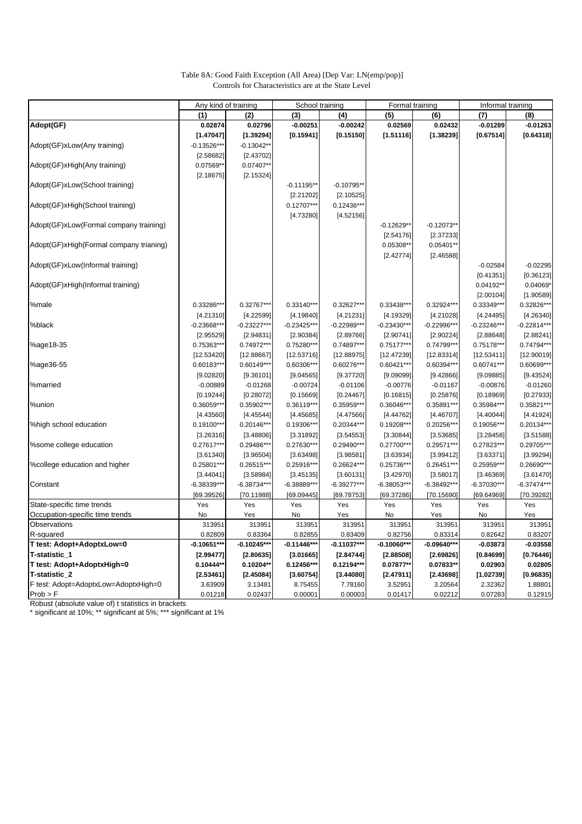| Table 8A: Good Faith Exception (All Area) [Dep Var: LN(emp/pop)] |  |
|------------------------------------------------------------------|--|
| Controls for Characteristics are at the State Level              |  |

|                                         | Any kind of training |               | School training |               | Formal training |               |               | Informal training |
|-----------------------------------------|----------------------|---------------|-----------------|---------------|-----------------|---------------|---------------|-------------------|
|                                         | (1)                  | (2)           | (3)             | (4)           | (5)             | (6)           | (7)           | (8)               |
| Adopt(GF)                               | 0.02874              | 0.02796       | $-0.00251$      | $-0.00242$    | 0.02569         | 0.02432       | $-0.01289$    | $-0.01263$        |
|                                         | [1.47047]            | [1.39294]     | [0.15941]       | [0.15150]     | [1.51116]       | [1.38239]     | [0.67514]     | [0.64318]         |
| Adopt(GF)xLow(Any training)             | $-0.13526**$         | $-0.13042**$  |                 |               |                 |               |               |                   |
|                                         | [2.58682]            | [2.43702]     |                 |               |                 |               |               |                   |
| Adopt(GF)xHigh(Any training)            | 0.07569**            | 0.07407**     |                 |               |                 |               |               |                   |
|                                         | [2.18675]            | [2.15324]     |                 |               |                 |               |               |                   |
| Adopt(GF)xLow(School training)          |                      |               | $-0.11195**$    | $-0.10795**$  |                 |               |               |                   |
|                                         |                      |               | [2.21202]       | [2.10525]     |                 |               |               |                   |
| Adopt(GF)xHigh(School training)         |                      |               | $0.12707***$    | $0.12436***$  |                 |               |               |                   |
|                                         |                      |               | [4.73280]       | [4.52156]     |                 |               |               |                   |
| Adopt(GF)xLow(Formal company training)  |                      |               |                 |               | $-0.12629*$     | $-0.12073*$   |               |                   |
|                                         |                      |               |                 |               | [2.54176]       | [2.37233]     |               |                   |
| Adopt(GF)xHigh(Formal company trianing) |                      |               |                 |               | 0.05308*        | $0.05401*$    |               |                   |
|                                         |                      |               |                 |               | [2.42774]       | [2.46588]     |               |                   |
| Adopt(GF)xLow(Informal training)        |                      |               |                 |               |                 |               | $-0.02584$    | $-0.02295$        |
|                                         |                      |               |                 |               |                 |               | [0.41351]     | [0.36123]         |
| Adopt(GF)xHigh(Informal training)       |                      |               |                 |               |                 |               | 0.04192**     | 0.04069*          |
|                                         |                      |               |                 |               |                 |               | [2.00104]     | [1.90589]         |
| %male                                   | 0.33286**            | 0.32767***    | 0.33140***      | 0.32627***    | 0.33438**       | 0.32924***    | 0.33349***    | 0.32826**         |
|                                         |                      |               |                 |               |                 |               |               |                   |
|                                         | [4.21310]            | [4.22599]     | [4.19840]       | [4.21231]     | [4.19329]       | [4.21028]     | [4.24495]     | [4.26340]         |
| %black                                  | $-0.23668**$         | $-0.23227***$ | $-0.23425**$    | $-0.22989***$ | $-0.23430***$   | $-0.22996**$  | $-0.23246***$ | $-0.22814***$     |
|                                         | [2.95529]            | [2.94831]     | [2.90384]       | [2.89766]     | [2.90741]       | [2.90224]     | [2.88648]     | [2.88241]         |
| %age18-35                               | 0.75363**            | 0.74972***    | 0.75280**       | 0.74897***    | 0.75177***      | 0.74799**     | 0.75178***    | 0.74794***        |
|                                         | [12.53420]           | [12.88667]    | [12.53716]      | [12.88975]    | [12.47239]      | [12.83314]    | [12.53411]    | [12.90019]        |
| %age36-55                               | $0.60183**$          | $0.60149***$  | 0.60306**       | 0.60276***    | $0.60421***$    | 0.60394**     | 0.60741***    | 0.60699***        |
|                                         | [9.02820]            | [9.36101]     | [9.04565]       | [9.37720]     | [9.09099]       | [9.42866]     | [9.09885]     | [9.43524]         |
| %married                                | $-0.00889$           | $-0.01268$    | $-0.00724$      | $-0.01106$    | $-0.00776$      | $-0.01167$    | $-0.00876$    | $-0.01260$        |
|                                         | [0.19244]            | [0.28072]     | [0.15669]       | [0.24467]     | [0.16815]       | [0.25876]     | [0.18969]     | [0.27933]         |
| %union                                  | 0.36059***           | 0.35902***    | 0.36119***      | 0.35959***    | 0.36046***      | 0.35891***    | 0.35984***    | 0.35821***        |
|                                         | [4.43560]            | [4.45544]     | [4.45685]       | [4.47566]     | [4.44762]       | [4.46707]     | [4.40044]     | [4.41924]         |
| %high school education                  | 0.19100***           | 0.20146***    | 0.19306***      | 0.20344***    | 0.19208***      | 0.20256***    | 0.19056***    | 0.20134***        |
|                                         | [3.26316]            | [3.48806]     | [3.31892]       | [3.54553]     | [3.30844]       | [3.53685]     | [3.28458]     | [3.51588]         |
| %some college education                 | 0.27617***           | 0.29486***    | 0.27630***      | 0.29490***    | 0.27700***      | 0.29571***    | 0.27823***    | 0.29705***        |
|                                         | [3.61340]            | [3.96504]     | [3.63498]       | [3.98581]     | [3.63934]       | [3.99412]     | [3.63371]     | [3.99294]         |
| %college education and higher           | 0.25801***           | $0.26515***$  | 0.25916***      | 0.26624***    | 0.25736***      | $0.26451***$  | 0.25959***    | 0.26690***        |
|                                         | [3.44041]            | [3.58984]     | [3.45135]       | [3.60131]     | [3.42970]       | [3.58017]     | [3.46369]     | [3.61470]         |
| Constant                                | $-6.38339***$        | $-6.38734***$ | $-6.38889***$   | $-6.39277***$ | $-6.38053***$   | $-6.38492***$ | $-6.37030***$ | $-6.37474***$     |
|                                         | [69.39526]           | [70.11988]    | [69.09445]      | [69.78753]    | [69.37286]      | [70.15690]    | [69.64969]    | [70.39282]        |
| State-specific time trends              | Yes                  | Yes           | Yes             | Yes           | Yes             | Yes           | Yes           | Yes               |
| Occupation-specific time trends         | No                   | Yes           | No              | Yes           | No              | Yes           | No            | Yes               |
| Observations                            | 313951               | 313951        | 313951          | 313951        | 313951          | 313951        | 313951        | 313951            |
| R-squared                               | 0.82809              | 0.83364       | 0.82855         | 0.83409       | 0.82756         | 0.83314       | 0.82642       | 0.83207           |
| T test: Adopt+AdoptxLow=0               | $-0.10651***$        | $-0.10245***$ | $-0.11446***$   | $-0.11037***$ | $-0.10060***$   | $-0.09640***$ | $-0.03873$    | $-0.03558$        |
| T-statistic_1                           | [2.99477]            | [2.80635]     | [3.01665]       | [2.84744]     | [2.88508]       | [2.69826]     | [0.84699]     | [0.76446]         |
| T test: Adopt+AdoptxHigh=0              | 0.10444**            | 0.10204**     | 0.12456***      | 0.12194***    | 0.07877**       | 0.07833**     | 0.02903       | 0.02805           |
| T-statistic_2                           | [2.53461]            | [2.45084]     | [3.60754]       | [3.44080]     | [2.47911]       | [2.43698]     | [1.02739]     | [0.96835]         |
| F test: Adopt=AdoptxLow=AdoptxHigh=0    | 3.63909              | 3.13481       | 8.75455         | 7.78160       | 3.52951         | 3.20564       | 2.32362       | 1.88801           |
| Prob > F                                | 0.01218              | 0.02437       | 0.00001         | 0.00003       | 0.01417         | 0.02212       | 0.07283       | 0.12915           |

Robust (absolute value of) t statistics in brackets